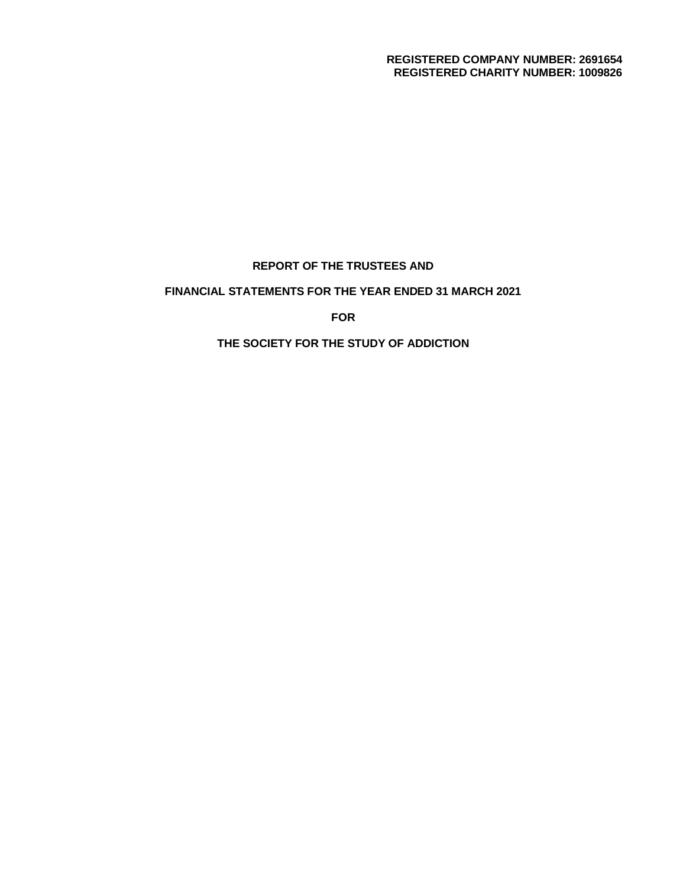#### **REGISTERED COMPANY NUMBER: 2691654 REGISTERED CHARITY NUMBER: 1009826**

# **REPORT OF THE TRUSTEES AND**

# **FINANCIAL STATEMENTS FOR THE YEAR ENDED 31 MARCH 2021**

**FOR**

## **THE SOCIETY FOR THE STUDY OF ADDICTION**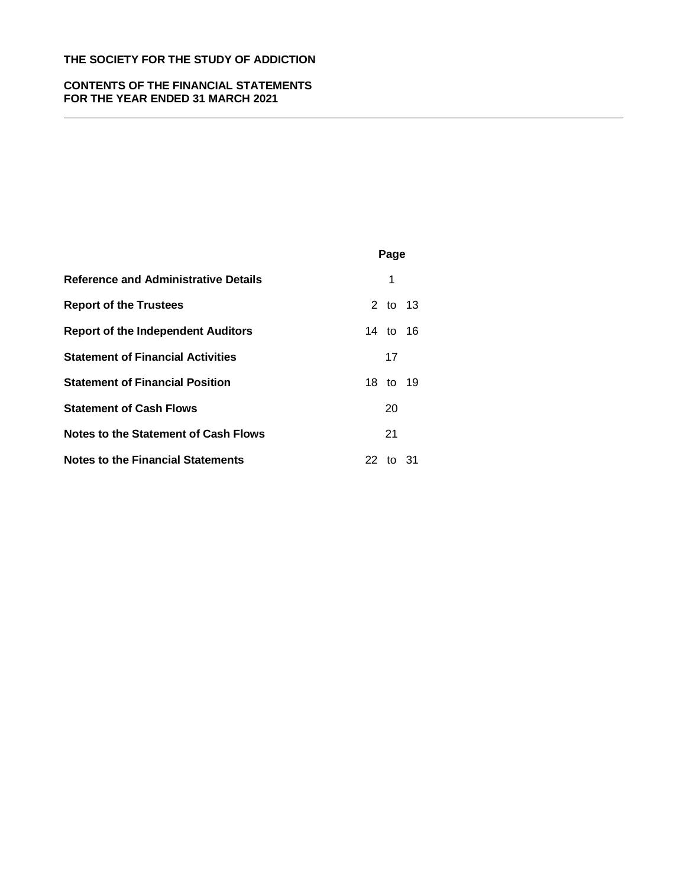## **CONTENTS OF THE FINANCIAL STATEMENTS FOR THE YEAR ENDED 31 MARCH 2021**

|                                             | Page     |
|---------------------------------------------|----------|
| <b>Reference and Administrative Details</b> | 1        |
| <b>Report of the Trustees</b>               | 2 to 13  |
| <b>Report of the Independent Auditors</b>   | 14 to 16 |
| <b>Statement of Financial Activities</b>    | 17       |
| <b>Statement of Financial Position</b>      | 18 to 19 |
| <b>Statement of Cash Flows</b>              | 20       |
| Notes to the Statement of Cash Flows        | 21       |
| <b>Notes to the Financial Statements</b>    | 22 to 31 |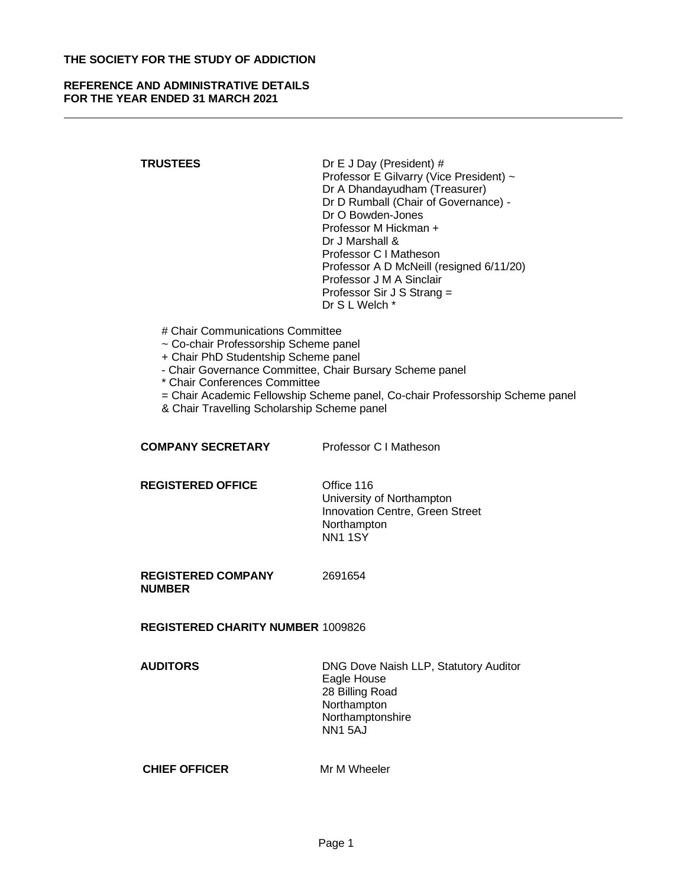## **REFERENCE AND ADMINISTRATIVE DETAILS FOR THE YEAR ENDED 31 MARCH 2021**

- **TRUSTEES** Dr E J Day (President) # Professor E Gilvarry (Vice President) ~ Dr A Dhandayudham (Treasurer) Dr D Rumball (Chair of Governance) - Dr O Bowden-Jones Professor M Hickman + Dr J Marshall & Professor C I Matheson Professor A D McNeill (resigned 6/11/20) Professor J M A Sinclair Professor Sir J S Strang = Dr S L Welch \*
	- # Chair Communications Committee
	- ~ Co-chair Professorship Scheme panel
	- + Chair PhD Studentship Scheme panel
	- Chair Governance Committee, Chair Bursary Scheme panel
	- \* Chair Conferences Committee
	- = Chair Academic Fellowship Scheme panel, Co-chair Professorship Scheme panel
	- & Chair Travelling Scholarship Scheme panel

#### **COMPANY SECRETARY** Professor C I Matheson

#### **REGISTERED OFFICE Office 116**

University of Northampton Innovation Centre, Green Street **Northampton** NN1 1SY

**REGISTERED COMPANY NUMBER** 

2691654

**REGISTERED CHARITY NUMBER** 1009826

**AUDITORS** DNG Dove Naish LLP, Statutory Auditor Eagle House 28 Billing Road **Northampton** Northamptonshire NN1 5AJ

### **CHIEF OFFICER** Mr M Wheeler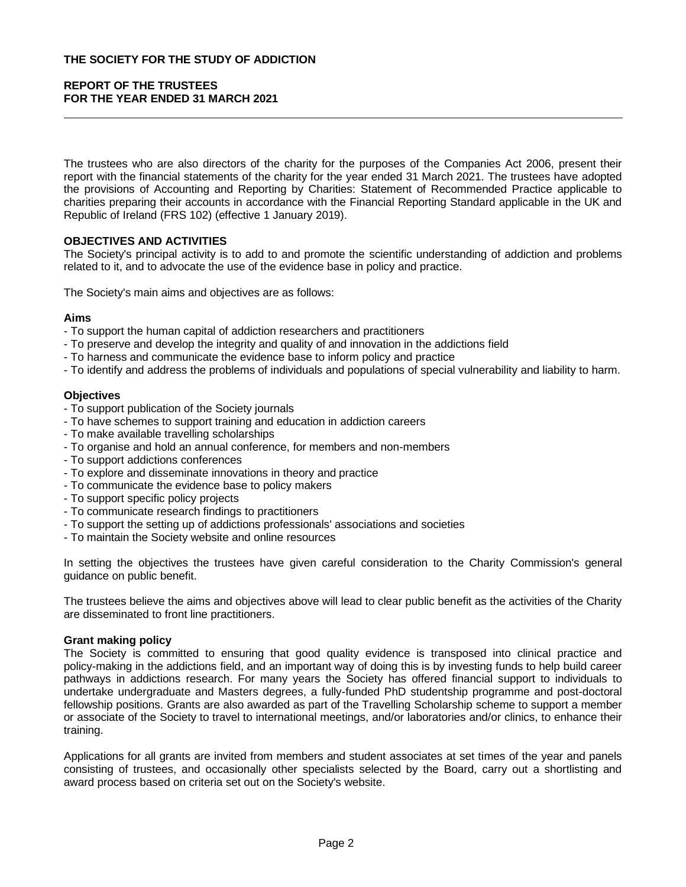## **REPORT OF THE TRUSTEES FOR THE YEAR ENDED 31 MARCH 2021**

The trustees who are also directors of the charity for the purposes of the Companies Act 2006, present their report with the financial statements of the charity for the year ended 31 March 2021. The trustees have adopted the provisions of Accounting and Reporting by Charities: Statement of Recommended Practice applicable to charities preparing their accounts in accordance with the Financial Reporting Standard applicable in the UK and Republic of Ireland (FRS 102) (effective 1 January 2019).

### **OBJECTIVES AND ACTIVITIES**

The Society's principal activity is to add to and promote the scientific understanding of addiction and problems related to it, and to advocate the use of the evidence base in policy and practice.

The Society's main aims and objectives are as follows:

#### **Aims**

- To support the human capital of addiction researchers and practitioners
- To preserve and develop the integrity and quality of and innovation in the addictions field
- To harness and communicate the evidence base to inform policy and practice
- To identify and address the problems of individuals and populations of special vulnerability and liability to harm.

#### **Objectives**

- To support publication of the Society journals
- To have schemes to support training and education in addiction careers
- To make available travelling scholarships
- To organise and hold an annual conference, for members and non-members
- To support addictions conferences
- To explore and disseminate innovations in theory and practice
- To communicate the evidence base to policy makers
- To support specific policy projects
- To communicate research findings to practitioners
- To support the setting up of addictions professionals' associations and societies
- To maintain the Society website and online resources

In setting the objectives the trustees have given careful consideration to the Charity Commission's general guidance on public benefit.

The trustees believe the aims and objectives above will lead to clear public benefit as the activities of the Charity are disseminated to front line practitioners.

### **Grant making policy**

The Society is committed to ensuring that good quality evidence is transposed into clinical practice and policy-making in the addictions field, and an important way of doing this is by investing funds to help build career pathways in addictions research. For many years the Society has offered financial support to individuals to undertake undergraduate and Masters degrees, a fully-funded PhD studentship programme and post-doctoral fellowship positions. Grants are also awarded as part of the Travelling Scholarship scheme to support a member or associate of the Society to travel to international meetings, and/or laboratories and/or clinics, to enhance their training.

Applications for all grants are invited from members and student associates at set times of the year and panels consisting of trustees, and occasionally other specialists selected by the Board, carry out a shortlisting and award process based on criteria set out on the Society's website.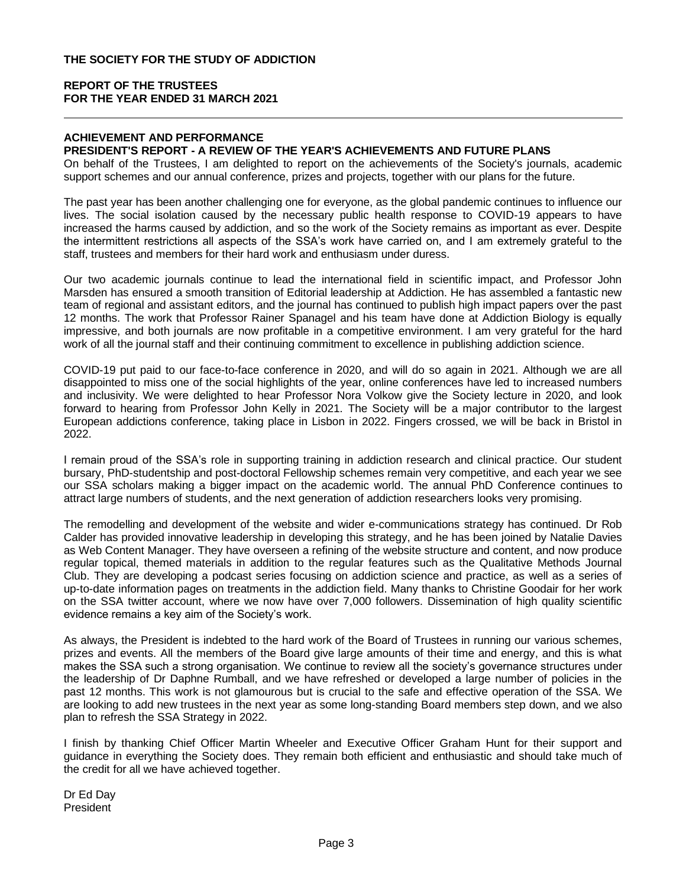# **ACHIEVEMENT AND PERFORMANCE**

## **PRESIDENT'S REPORT - A REVIEW OF THE YEAR'S ACHIEVEMENTS AND FUTURE PLANS**

On behalf of the Trustees, I am delighted to report on the achievements of the Society's journals, academic support schemes and our annual conference, prizes and projects, together with our plans for the future.

The past year has been another challenging one for everyone, as the global pandemic continues to influence our lives. The social isolation caused by the necessary public health response to COVID-19 appears to have increased the harms caused by addiction, and so the work of the Society remains as important as ever. Despite the intermittent restrictions all aspects of the SSA's work have carried on, and I am extremely grateful to the staff, trustees and members for their hard work and enthusiasm under duress.

Our two academic journals continue to lead the international field in scientific impact, and Professor John Marsden has ensured a smooth transition of Editorial leadership at Addiction. He has assembled a fantastic new team of regional and assistant editors, and the journal has continued to publish high impact papers over the past 12 months. The work that Professor Rainer Spanagel and his team have done at Addiction Biology is equally impressive, and both journals are now profitable in a competitive environment. I am very grateful for the hard work of all the journal staff and their continuing commitment to excellence in publishing addiction science.

COVID-19 put paid to our face-to-face conference in 2020, and will do so again in 2021. Although we are all disappointed to miss one of the social highlights of the year, online conferences have led to increased numbers and inclusivity. We were delighted to hear Professor Nora Volkow give the Society lecture in 2020, and look forward to hearing from Professor John Kelly in 2021. The Society will be a major contributor to the largest European addictions conference, taking place in Lisbon in 2022. Fingers crossed, we will be back in Bristol in 2022.

I remain proud of the SSA's role in supporting training in addiction research and clinical practice. Our student bursary, PhD-studentship and post-doctoral Fellowship schemes remain very competitive, and each year we see our SSA scholars making a bigger impact on the academic world. The annual PhD Conference continues to attract large numbers of students, and the next generation of addiction researchers looks very promising.

The remodelling and development of the website and wider e-communications strategy has continued. Dr Rob Calder has provided innovative leadership in developing this strategy, and he has been joined by Natalie Davies as Web Content Manager. They have overseen a refining of the website structure and content, and now produce regular topical, themed materials in addition to the regular features such as the Qualitative Methods Journal Club. They are developing a podcast series focusing on addiction science and practice, as well as a series of up-to-date information pages on treatments in the addiction field. Many thanks to Christine Goodair for her work on the SSA twitter account, where we now have over 7,000 followers. Dissemination of high quality scientific evidence remains a key aim of the Society's work.

As always, the President is indebted to the hard work of the Board of Trustees in running our various schemes, prizes and events. All the members of the Board give large amounts of their time and energy, and this is what makes the SSA such a strong organisation. We continue to review all the society's governance structures under the leadership of Dr Daphne Rumball, and we have refreshed or developed a large number of policies in the past 12 months. This work is not glamourous but is crucial to the safe and effective operation of the SSA. We are looking to add new trustees in the next year as some long-standing Board members step down, and we also plan to refresh the SSA Strategy in 2022.

I finish by thanking Chief Officer Martin Wheeler and Executive Officer Graham Hunt for their support and guidance in everything the Society does. They remain both efficient and enthusiastic and should take much of the credit for all we have achieved together.

Dr Ed Day President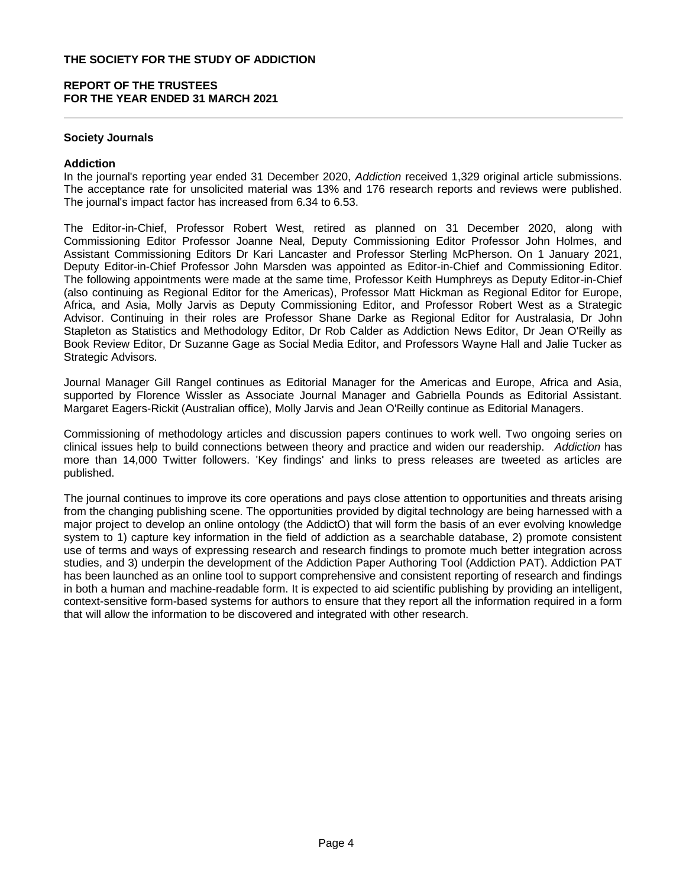## **REPORT OF THE TRUSTEES FOR THE YEAR ENDED 31 MARCH 2021**

### **Society Journals**

#### **Addiction**

In the journal's reporting year ended 31 December 2020, *Addiction* received 1,329 original article submissions. The acceptance rate for unsolicited material was 13% and 176 research reports and reviews were published. The journal's impact factor has increased from 6.34 to 6.53.

The Editor-in-Chief, Professor Robert West, retired as planned on 31 December 2020, along with Commissioning Editor Professor Joanne Neal, Deputy Commissioning Editor Professor John Holmes, and Assistant Commissioning Editors Dr Kari Lancaster and Professor Sterling McPherson. On 1 January 2021, Deputy Editor-in-Chief Professor John Marsden was appointed as Editor-in-Chief and Commissioning Editor. The following appointments were made at the same time, Professor Keith Humphreys as Deputy Editor-in-Chief (also continuing as Regional Editor for the Americas), Professor Matt Hickman as Regional Editor for Europe, Africa, and Asia, Molly Jarvis as Deputy Commissioning Editor, and Professor Robert West as a Strategic Advisor. Continuing in their roles are Professor Shane Darke as Regional Editor for Australasia, Dr John Stapleton as Statistics and Methodology Editor, Dr Rob Calder as Addiction News Editor, Dr Jean O'Reilly as Book Review Editor, Dr Suzanne Gage as Social Media Editor, and Professors Wayne Hall and Jalie Tucker as Strategic Advisors.

Journal Manager Gill Rangel continues as Editorial Manager for the Americas and Europe, Africa and Asia, supported by Florence Wissler as Associate Journal Manager and Gabriella Pounds as Editorial Assistant. Margaret Eagers-Rickit (Australian office), Molly Jarvis and Jean O'Reilly continue as Editorial Managers.

Commissioning of methodology articles and discussion papers continues to work well. Two ongoing series on clinical issues help to build connections between theory and practice and widen our readership. *Addiction* has more than 14,000 Twitter followers. 'Key findings' and links to press releases are tweeted as articles are published.

The journal continues to improve its core operations and pays close attention to opportunities and threats arising from the changing publishing scene. The opportunities provided by digital technology are being harnessed with a major project to develop an online ontology (the AddictO) that will form the basis of an ever evolving knowledge system to 1) capture key information in the field of addiction as a searchable database, 2) promote consistent use of terms and ways of expressing research and research findings to promote much better integration across studies, and 3) underpin the development of the Addiction Paper Authoring Tool (Addiction PAT). Addiction PAT has been launched as an online tool to support comprehensive and consistent reporting of research and findings in both a human and machine-readable form. It is expected to aid scientific publishing by providing an intelligent, context-sensitive form-based systems for authors to ensure that they report all the information required in a form that will allow the information to be discovered and integrated with other research.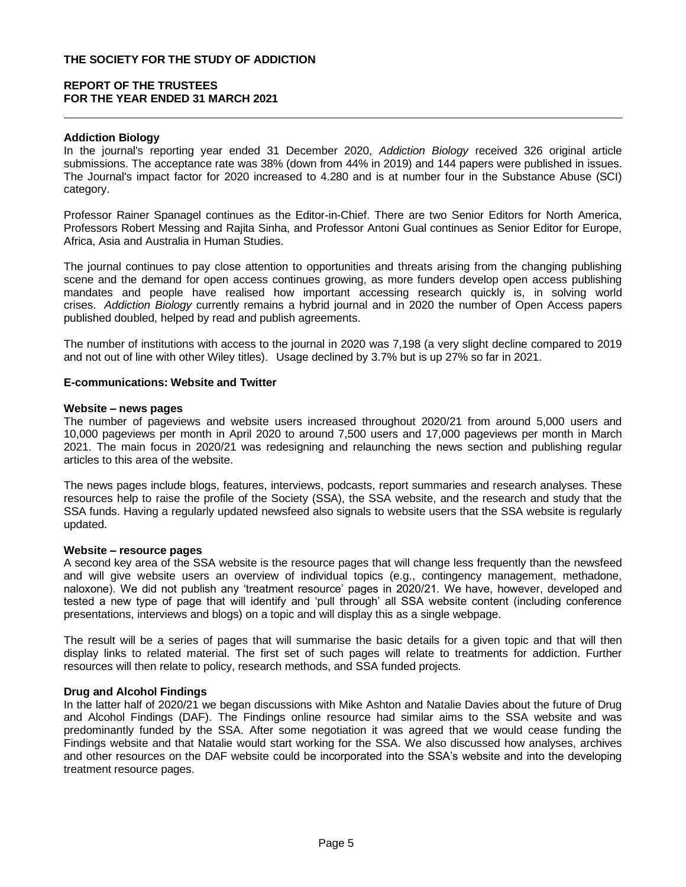## **Addiction Biology**

In the journal's reporting year ended 31 December 2020, *Addiction Biology* received 326 original article submissions. The acceptance rate was 38% (down from 44% in 2019) and 144 papers were published in issues. The Journal's impact factor for 2020 increased to 4.280 and is at number four in the Substance Abuse (SCI) category.

Professor Rainer Spanagel continues as the Editor-in-Chief. There are two Senior Editors for North America, Professors Robert Messing and Rajita Sinha, and Professor Antoni Gual continues as Senior Editor for Europe, Africa, Asia and Australia in Human Studies.

The journal continues to pay close attention to opportunities and threats arising from the changing publishing scene and the demand for open access continues growing, as more funders develop open access publishing mandates and people have realised how important accessing research quickly is, in solving world crises. *Addiction Biology* currently remains a hybrid journal and in 2020 the number of Open Access papers published doubled, helped by read and publish agreements.

The number of institutions with access to the journal in 2020 was 7,198 (a very slight decline compared to 2019 and not out of line with other Wiley titles). Usage declined by 3.7% but is up 27% so far in 2021.

## **E-communications: Website and Twitter**

#### **Website – news pages**

The number of pageviews and website users increased throughout 2020/21 from around 5,000 users and 10,000 pageviews per month in April 2020 to around 7,500 users and 17,000 pageviews per month in March 2021. The main focus in 2020/21 was redesigning and relaunching the news section and publishing regular articles to this area of the website.

The news pages include blogs, features, interviews, podcasts, report summaries and research analyses. These resources help to raise the profile of the Society (SSA), the SSA website, and the research and study that the SSA funds. Having a regularly updated newsfeed also signals to website users that the SSA website is regularly updated.

#### **Website – resource pages**

A second key area of the SSA website is the resource pages that will change less frequently than the newsfeed and will give website users an overview of individual topics (e.g., contingency management, methadone, naloxone). We did not publish any 'treatment resource' pages in 2020/21. We have, however, developed and tested a new type of page that will identify and 'pull through' all SSA website content (including conference presentations, interviews and blogs) on a topic and will display this as a single webpage.

The result will be a series of pages that will summarise the basic details for a given topic and that will then display links to related material. The first set of such pages will relate to treatments for addiction. Further resources will then relate to policy, research methods, and SSA funded projects.

## **Drug and Alcohol Findings**

In the latter half of 2020/21 we began discussions with Mike Ashton and Natalie Davies about the future of Drug and Alcohol Findings (DAF). The Findings online resource had similar aims to the SSA website and was predominantly funded by the SSA. After some negotiation it was agreed that we would cease funding the Findings website and that Natalie would start working for the SSA. We also discussed how analyses, archives and other resources on the DAF website could be incorporated into the SSA's website and into the developing treatment resource pages.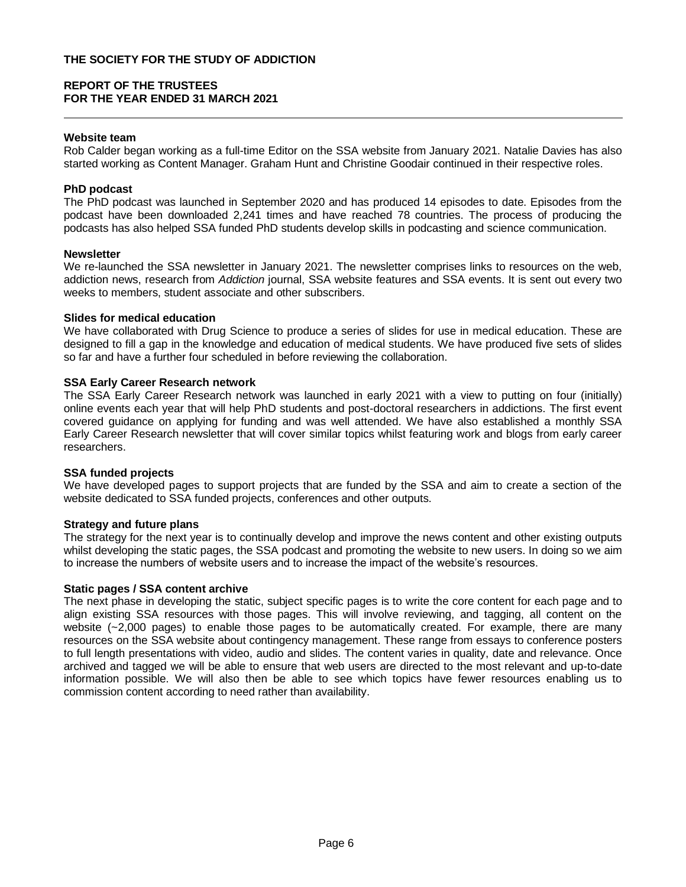### **Website team**

Rob Calder began working as a full-time Editor on the SSA website from January 2021. Natalie Davies has also started working as Content Manager. Graham Hunt and Christine Goodair continued in their respective roles.

## **PhD podcast**

The PhD podcast was launched in September 2020 and has produced 14 episodes to date. Episodes from the podcast have been downloaded 2,241 times and have reached 78 countries. The process of producing the podcasts has also helped SSA funded PhD students develop skills in podcasting and science communication.

### **Newsletter**

We re-launched the SSA newsletter in January 2021. The newsletter comprises links to resources on the web, addiction news, research from *Addiction* journal, SSA website features and SSA events. It is sent out every two weeks to members, student associate and other subscribers.

#### **Slides for medical education**

We have collaborated with Drug Science to produce a series of slides for use in medical education. These are designed to fill a gap in the knowledge and education of medical students. We have produced five sets of slides so far and have a further four scheduled in before reviewing the collaboration.

### **SSA Early Career Research network**

The SSA Early Career Research network was launched in early 2021 with a view to putting on four (initially) online events each year that will help PhD students and post-doctoral researchers in addictions. The first event covered guidance on applying for funding and was well attended. We have also established a monthly SSA Early Career Research newsletter that will cover similar topics whilst featuring work and blogs from early career researchers.

### **SSA funded projects**

We have developed pages to support projects that are funded by the SSA and aim to create a section of the website dedicated to SSA funded projects, conferences and other outputs.

### **Strategy and future plans**

The strategy for the next year is to continually develop and improve the news content and other existing outputs whilst developing the static pages, the SSA podcast and promoting the website to new users. In doing so we aim to increase the numbers of website users and to increase the impact of the website's resources.

#### **Static pages / SSA content archive**

The next phase in developing the static, subject specific pages is to write the core content for each page and to align existing SSA resources with those pages. This will involve reviewing, and tagging, all content on the website (~2,000 pages) to enable those pages to be automatically created. For example, there are many resources on the SSA website about contingency management. These range from essays to conference posters to full length presentations with video, audio and slides. The content varies in quality, date and relevance. Once archived and tagged we will be able to ensure that web users are directed to the most relevant and up-to-date information possible. We will also then be able to see which topics have fewer resources enabling us to commission content according to need rather than availability.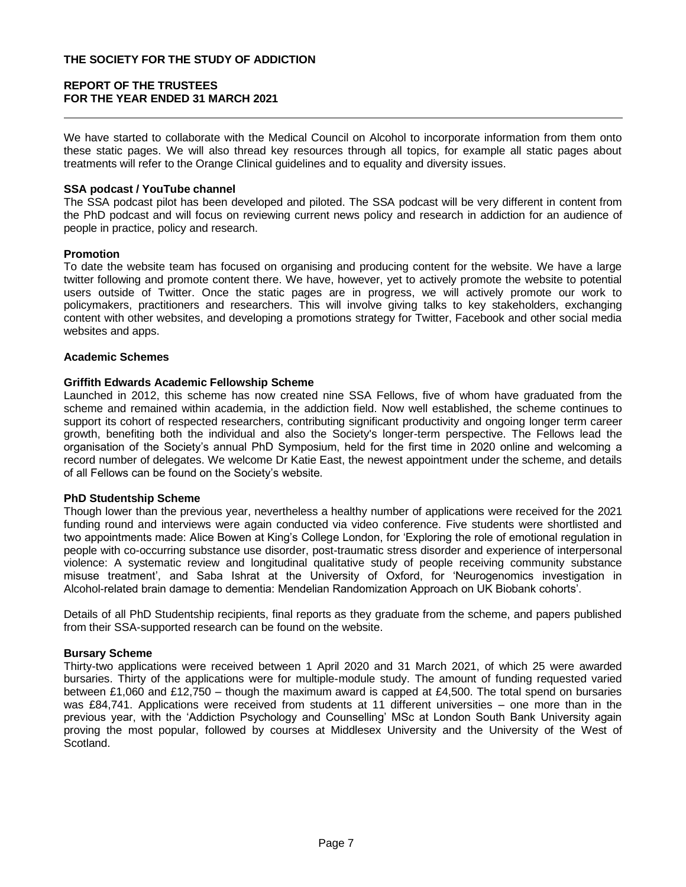We have started to collaborate with the Medical Council on Alcohol to incorporate information from them onto these static pages. We will also thread key resources through all topics, for example all static pages about treatments will refer to the Orange Clinical guidelines and to equality and diversity issues.

### **SSA podcast / YouTube channel**

The SSA podcast pilot has been developed and piloted. The SSA podcast will be very different in content from the PhD podcast and will focus on reviewing current news policy and research in addiction for an audience of people in practice, policy and research.

#### **Promotion**

To date the website team has focused on organising and producing content for the website. We have a large twitter following and promote content there. We have, however, yet to actively promote the website to potential users outside of Twitter. Once the static pages are in progress, we will actively promote our work to policymakers, practitioners and researchers. This will involve giving talks to key stakeholders, exchanging content with other websites, and developing a promotions strategy for Twitter, Facebook and other social media websites and apps.

#### **Academic Schemes**

#### **Griffith Edwards Academic Fellowship Scheme**

Launched in 2012, this scheme has now created nine SSA Fellows, five of whom have graduated from the scheme and remained within academia, in the addiction field. Now well established, the scheme continues to support its cohort of respected researchers, contributing significant productivity and ongoing longer term career growth, benefiting both the individual and also the Society's longer-term perspective. The Fellows lead the organisation of the Society's annual PhD Symposium, held for the first time in 2020 online and welcoming a record number of delegates. We welcome Dr Katie East, the newest appointment under the scheme, and details of all Fellows can be found on the Society's website.

### **PhD Studentship Scheme**

Though lower than the previous year, nevertheless a healthy number of applications were received for the 2021 funding round and interviews were again conducted via video conference. Five students were shortlisted and two appointments made: Alice Bowen at King's College London, for 'Exploring the role of emotional regulation in people with co-occurring substance use disorder, post-traumatic stress disorder and experience of interpersonal violence: A systematic review and longitudinal qualitative study of people receiving community substance misuse treatment', and Saba Ishrat at the University of Oxford, for 'Neurogenomics investigation in Alcohol-related brain damage to dementia: Mendelian Randomization Approach on UK Biobank cohorts'.

Details of all PhD Studentship recipients, final reports as they graduate from the scheme, and papers published from their SSA-supported research can be found on the website.

#### **Bursary Scheme**

Thirty-two applications were received between 1 April 2020 and 31 March 2021, of which 25 were awarded bursaries. Thirty of the applications were for multiple-module study. The amount of funding requested varied between £1,060 and £12,750 – though the maximum award is capped at £4,500. The total spend on bursaries was £84,741. Applications were received from students at 11 different universities – one more than in the previous year, with the 'Addiction Psychology and Counselling' MSc at London South Bank University again proving the most popular, followed by courses at Middlesex University and the University of the West of Scotland.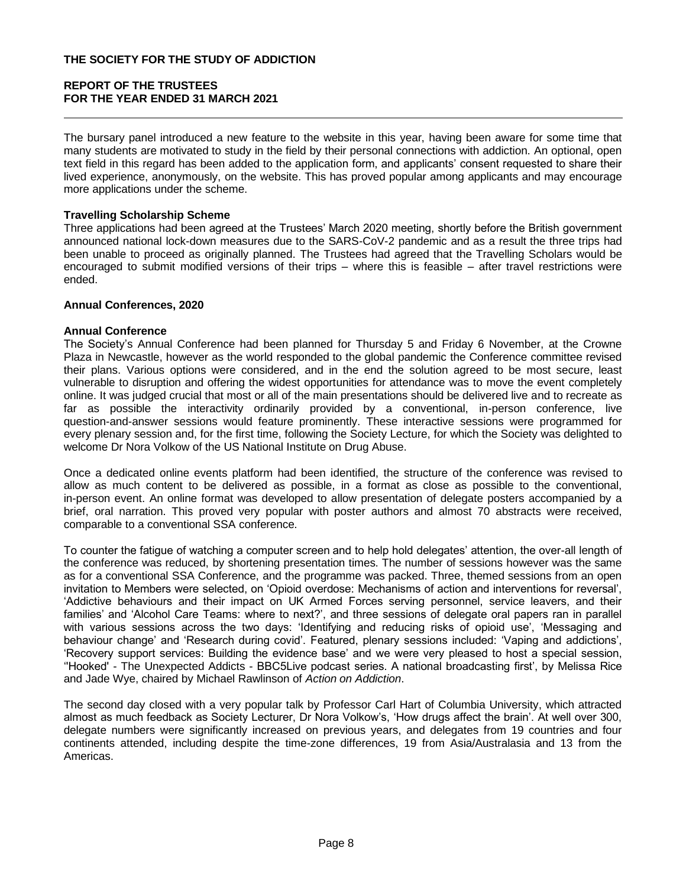The bursary panel introduced a new feature to the website in this year, having been aware for some time that many students are motivated to study in the field by their personal connections with addiction. An optional, open text field in this regard has been added to the application form, and applicants' consent requested to share their lived experience, anonymously, on the website. This has proved popular among applicants and may encourage more applications under the scheme.

## **Travelling Scholarship Scheme**

Three applications had been agreed at the Trustees' March 2020 meeting, shortly before the British government announced national lock-down measures due to the SARS-CoV-2 pandemic and as a result the three trips had been unable to proceed as originally planned. The Trustees had agreed that the Travelling Scholars would be encouraged to submit modified versions of their trips – where this is feasible – after travel restrictions were ended.

### **Annual Conferences, 2020**

### **Annual Conference**

The Society's Annual Conference had been planned for Thursday 5 and Friday 6 November, at the Crowne Plaza in Newcastle, however as the world responded to the global pandemic the Conference committee revised their plans. Various options were considered, and in the end the solution agreed to be most secure, least vulnerable to disruption and offering the widest opportunities for attendance was to move the event completely online. It was judged crucial that most or all of the main presentations should be delivered live and to recreate as far as possible the interactivity ordinarily provided by a conventional, in-person conference, live question-and-answer sessions would feature prominently. These interactive sessions were programmed for every plenary session and, for the first time, following the Society Lecture, for which the Society was delighted to welcome Dr Nora Volkow of the US National Institute on Drug Abuse.

Once a dedicated online events platform had been identified, the structure of the conference was revised to allow as much content to be delivered as possible, in a format as close as possible to the conventional, in-person event. An online format was developed to allow presentation of delegate posters accompanied by a brief, oral narration. This proved very popular with poster authors and almost 70 abstracts were received, comparable to a conventional SSA conference.

To counter the fatigue of watching a computer screen and to help hold delegates' attention, the over-all length of the conference was reduced, by shortening presentation times. The number of sessions however was the same as for a conventional SSA Conference, and the programme was packed. Three, themed sessions from an open invitation to Members were selected, on 'Opioid overdose: Mechanisms of action and interventions for reversal', 'Addictive behaviours and their impact on UK Armed Forces serving personnel, service leavers, and their families' and 'Alcohol Care Teams: where to next?', and three sessions of delegate oral papers ran in parallel with various sessions across the two days: 'Identifying and reducing risks of opioid use', 'Messaging and behaviour change' and 'Research during covid'. Featured, plenary sessions included: 'Vaping and addictions', 'Recovery support services: Building the evidence base' and we were very pleased to host a special session, ''Hooked' - The Unexpected Addicts - BBC5Live podcast series. A national broadcasting first', by Melissa Rice and Jade Wye, chaired by Michael Rawlinson of *Action on Addiction*.

The second day closed with a very popular talk by Professor Carl Hart of Columbia University, which attracted almost as much feedback as Society Lecturer, Dr Nora Volkow's, 'How drugs affect the brain'. At well over 300, delegate numbers were significantly increased on previous years, and delegates from 19 countries and four continents attended, including despite the time-zone differences, 19 from Asia/Australasia and 13 from the Americas.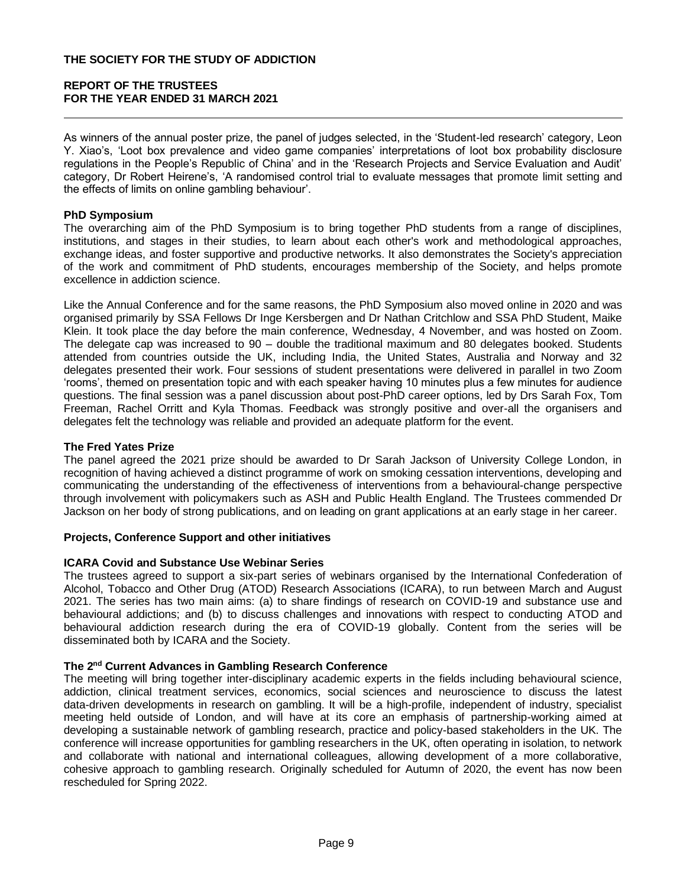As winners of the annual poster prize, the panel of judges selected, in the 'Student-led research' category, Leon Y. Xiao's, 'Loot box prevalence and video game companies' interpretations of loot box probability disclosure regulations in the People's Republic of China' and in the 'Research Projects and Service Evaluation and Audit' category, Dr Robert Heirene's, 'A randomised control trial to evaluate messages that promote limit setting and the effects of limits on online gambling behaviour'.

## **PhD Symposium**

The overarching aim of the PhD Symposium is to bring together PhD students from a range of disciplines, institutions, and stages in their studies, to learn about each other's work and methodological approaches, exchange ideas, and foster supportive and productive networks. It also demonstrates the Society's appreciation of the work and commitment of PhD students, encourages membership of the Society, and helps promote excellence in addiction science.

Like the Annual Conference and for the same reasons, the PhD Symposium also moved online in 2020 and was organised primarily by SSA Fellows Dr Inge Kersbergen and Dr Nathan Critchlow and SSA PhD Student, Maike Klein. It took place the day before the main conference, Wednesday, 4 November, and was hosted on Zoom. The delegate cap was increased to 90 – double the traditional maximum and 80 delegates booked. Students attended from countries outside the UK, including India, the United States, Australia and Norway and 32 delegates presented their work. Four sessions of student presentations were delivered in parallel in two Zoom 'rooms', themed on presentation topic and with each speaker having 10 minutes plus a few minutes for audience questions. The final session was a panel discussion about post-PhD career options, led by Drs Sarah Fox, Tom Freeman, Rachel Orritt and Kyla Thomas. Feedback was strongly positive and over-all the organisers and delegates felt the technology was reliable and provided an adequate platform for the event.

### **The Fred Yates Prize**

The panel agreed the 2021 prize should be awarded to Dr Sarah Jackson of University College London, in recognition of having achieved a distinct programme of work on smoking cessation interventions, developing and communicating the understanding of the effectiveness of interventions from a behavioural-change perspective through involvement with policymakers such as ASH and Public Health England. The Trustees commended Dr Jackson on her body of strong publications, and on leading on grant applications at an early stage in her career.

### **Projects, Conference Support and other initiatives**

### **ICARA Covid and Substance Use Webinar Series**

The trustees agreed to support a six-part series of webinars organised by the International Confederation of Alcohol, Tobacco and Other Drug (ATOD) Research Associations (ICARA), to run between March and August 2021. The series has two main aims: (a) to share findings of research on COVID-19 and substance use and behavioural addictions; and (b) to discuss challenges and innovations with respect to conducting ATOD and behavioural addiction research during the era of COVID-19 globally. Content from the series will be disseminated both by ICARA and the Society.

## **The 2nd Current Advances in Gambling Research Conference**

The meeting will bring together inter-disciplinary academic experts in the fields including behavioural science, addiction, clinical treatment services, economics, social sciences and neuroscience to discuss the latest data-driven developments in research on gambling. It will be a high-profile, independent of industry, specialist meeting held outside of London, and will have at its core an emphasis of partnership-working aimed at developing a sustainable network of gambling research, practice and policy-based stakeholders in the UK. The conference will increase opportunities for gambling researchers in the UK, often operating in isolation, to network and collaborate with national and international colleagues, allowing development of a more collaborative, cohesive approach to gambling research. Originally scheduled for Autumn of 2020, the event has now been rescheduled for Spring 2022.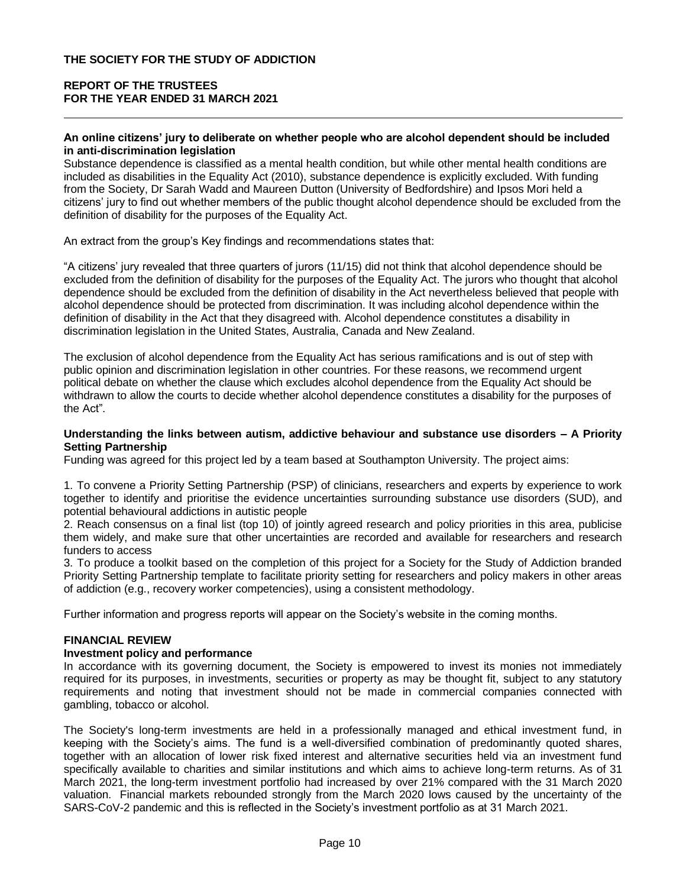#### **An online citizens' jury to deliberate on whether people who are alcohol dependent should be included in anti-discrimination legislation**

Substance dependence is classified as a mental health condition, but while other mental health conditions are included as disabilities in the Equality Act (2010), substance dependence is explicitly excluded. With funding from the Society, Dr Sarah Wadd and Maureen Dutton (University of Bedfordshire) and Ipsos Mori held a citizens' jury to find out whether members of the public thought alcohol dependence should be excluded from the definition of disability for the purposes of the Equality Act.

An extract from the group's Key findings and recommendations states that:

"A citizens' jury revealed that three quarters of jurors (11/15) did not think that alcohol dependence should be excluded from the definition of disability for the purposes of the Equality Act. The jurors who thought that alcohol dependence should be excluded from the definition of disability in the Act nevertheless believed that people with alcohol dependence should be protected from discrimination. It was including alcohol dependence within the definition of disability in the Act that they disagreed with. Alcohol dependence constitutes a disability in discrimination legislation in the United States, Australia, Canada and New Zealand.

The exclusion of alcohol dependence from the Equality Act has serious ramifications and is out of step with public opinion and discrimination legislation in other countries. For these reasons, we recommend urgent political debate on whether the clause which excludes alcohol dependence from the Equality Act should be withdrawn to allow the courts to decide whether alcohol dependence constitutes a disability for the purposes of the Act".

#### **Understanding the links between autism, addictive behaviour and substance use disorders – A Priority Setting Partnership**

Funding was agreed for this project led by a team based at Southampton University. The project aims:

1. To convene a Priority Setting Partnership (PSP) of clinicians, researchers and experts by experience to work together to identify and prioritise the evidence uncertainties surrounding substance use disorders (SUD), and potential behavioural addictions in autistic people

2. Reach consensus on a final list (top 10) of jointly agreed research and policy priorities in this area, publicise them widely, and make sure that other uncertainties are recorded and available for researchers and research funders to access

3. To produce a toolkit based on the completion of this project for a Society for the Study of Addiction branded Priority Setting Partnership template to facilitate priority setting for researchers and policy makers in other areas of addiction (e.g., recovery worker competencies), using a consistent methodology.

Further information and progress reports will appear on the Society's website in the coming months.

## **FINANCIAL REVIEW**

## **Investment policy and performance**

In accordance with its governing document, the Society is empowered to invest its monies not immediately required for its purposes, in investments, securities or property as may be thought fit, subject to any statutory requirements and noting that investment should not be made in commercial companies connected with gambling, tobacco or alcohol.

The Society's long-term investments are held in a professionally managed and ethical investment fund, in keeping with the Society's aims. The fund is a well-diversified combination of predominantly quoted shares, together with an allocation of lower risk fixed interest and alternative securities held via an investment fund specifically available to charities and similar institutions and which aims to achieve long-term returns. As of 31 March 2021, the long-term investment portfolio had increased by over 21% compared with the 31 March 2020 valuation. Financial markets rebounded strongly from the March 2020 lows caused by the uncertainty of the SARS-CoV-2 pandemic and this is reflected in the Society's investment portfolio as at 31 March 2021.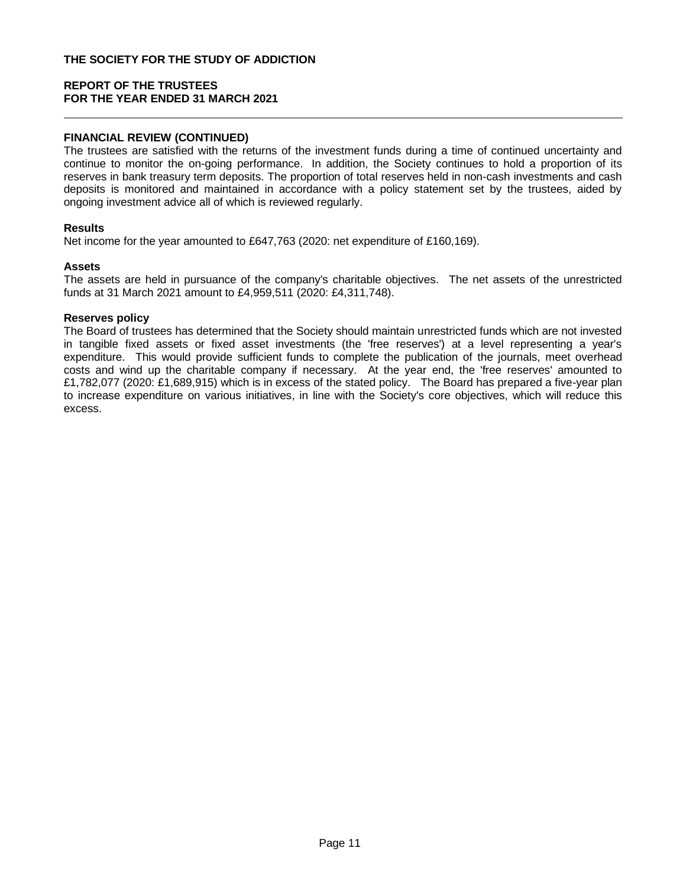## **FINANCIAL REVIEW (CONTINUED)**

The trustees are satisfied with the returns of the investment funds during a time of continued uncertainty and continue to monitor the on-going performance. In addition, the Society continues to hold a proportion of its reserves in bank treasury term deposits. The proportion of total reserves held in non-cash investments and cash deposits is monitored and maintained in accordance with a policy statement set by the trustees, aided by ongoing investment advice all of which is reviewed regularly.

### **Results**

Net income for the year amounted to £647,763 (2020: net expenditure of £160,169).

### **Assets**

The assets are held in pursuance of the company's charitable objectives. The net assets of the unrestricted funds at 31 March 2021 amount to £4,959,511 (2020: £4,311,748).

## **Reserves policy**

The Board of trustees has determined that the Society should maintain unrestricted funds which are not invested in tangible fixed assets or fixed asset investments (the 'free reserves') at a level representing a year's expenditure. This would provide sufficient funds to complete the publication of the journals, meet overhead costs and wind up the charitable company if necessary. At the year end, the 'free reserves' amounted to £1,782,077 (2020: £1,689,915) which is in excess of the stated policy. The Board has prepared a five-year plan to increase expenditure on various initiatives, in line with the Society's core objectives, which will reduce this excess.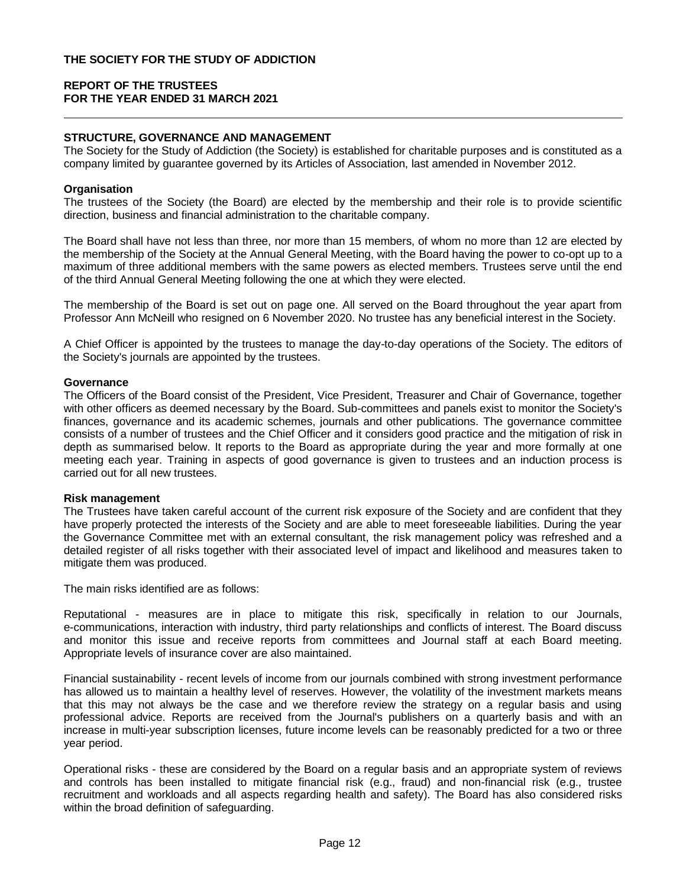## **STRUCTURE, GOVERNANCE AND MANAGEMENT**

The Society for the Study of Addiction (the Society) is established for charitable purposes and is constituted as a company limited by guarantee governed by its Articles of Association, last amended in November 2012.

#### **Organisation**

The trustees of the Society (the Board) are elected by the membership and their role is to provide scientific direction, business and financial administration to the charitable company.

The Board shall have not less than three, nor more than 15 members, of whom no more than 12 are elected by the membership of the Society at the Annual General Meeting, with the Board having the power to co-opt up to a maximum of three additional members with the same powers as elected members. Trustees serve until the end of the third Annual General Meeting following the one at which they were elected.

The membership of the Board is set out on page one. All served on the Board throughout the year apart from Professor Ann McNeill who resigned on 6 November 2020. No trustee has any beneficial interest in the Society.

A Chief Officer is appointed by the trustees to manage the day-to-day operations of the Society. The editors of the Society's journals are appointed by the trustees.

#### **Governance**

The Officers of the Board consist of the President, Vice President, Treasurer and Chair of Governance, together with other officers as deemed necessary by the Board. Sub-committees and panels exist to monitor the Society's finances, governance and its academic schemes, journals and other publications. The governance committee consists of a number of trustees and the Chief Officer and it considers good practice and the mitigation of risk in depth as summarised below. It reports to the Board as appropriate during the year and more formally at one meeting each year. Training in aspects of good governance is given to trustees and an induction process is carried out for all new trustees.

### **Risk management**

The Trustees have taken careful account of the current risk exposure of the Society and are confident that they have properly protected the interests of the Society and are able to meet foreseeable liabilities. During the year the Governance Committee met with an external consultant, the risk management policy was refreshed and a detailed register of all risks together with their associated level of impact and likelihood and measures taken to mitigate them was produced.

The main risks identified are as follows:

Reputational - measures are in place to mitigate this risk, specifically in relation to our Journals, e-communications, interaction with industry, third party relationships and conflicts of interest. The Board discuss and monitor this issue and receive reports from committees and Journal staff at each Board meeting. Appropriate levels of insurance cover are also maintained.

Financial sustainability - recent levels of income from our journals combined with strong investment performance has allowed us to maintain a healthy level of reserves. However, the volatility of the investment markets means that this may not always be the case and we therefore review the strategy on a regular basis and using professional advice. Reports are received from the Journal's publishers on a quarterly basis and with an increase in multi-year subscription licenses, future income levels can be reasonably predicted for a two or three year period.

Operational risks - these are considered by the Board on a regular basis and an appropriate system of reviews and controls has been installed to mitigate financial risk (e.g., fraud) and non-financial risk (e.g., trustee recruitment and workloads and all aspects regarding health and safety). The Board has also considered risks within the broad definition of safeguarding.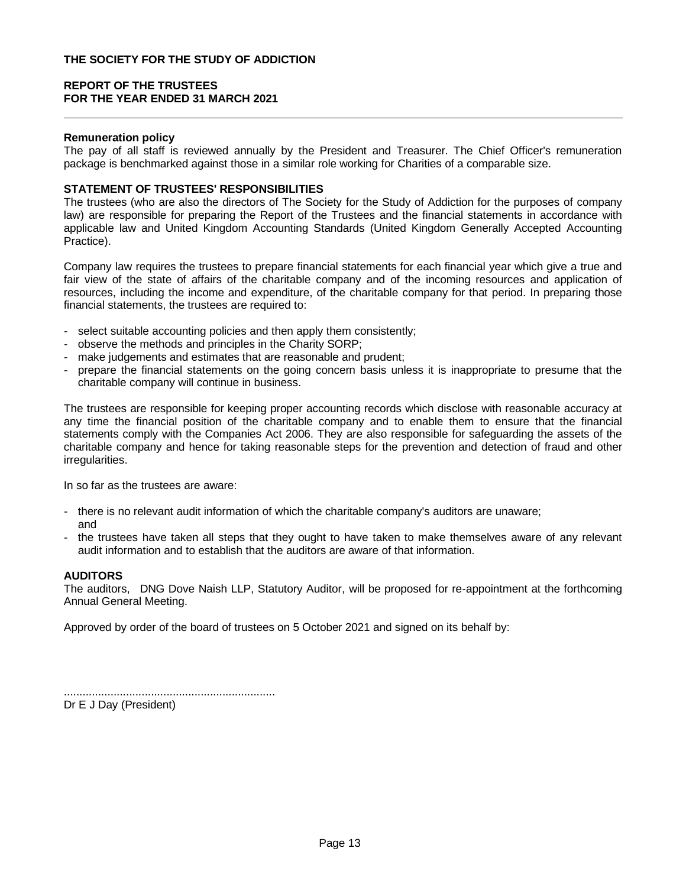## **Remuneration policy**

The pay of all staff is reviewed annually by the President and Treasurer. The Chief Officer's remuneration package is benchmarked against those in a similar role working for Charities of a comparable size.

### **STATEMENT OF TRUSTEES' RESPONSIBILITIES**

The trustees (who are also the directors of The Society for the Study of Addiction for the purposes of company law) are responsible for preparing the Report of the Trustees and the financial statements in accordance with applicable law and United Kingdom Accounting Standards (United Kingdom Generally Accepted Accounting Practice).

Company law requires the trustees to prepare financial statements for each financial year which give a true and fair view of the state of affairs of the charitable company and of the incoming resources and application of resources, including the income and expenditure, of the charitable company for that period. In preparing those financial statements, the trustees are required to:

- select suitable accounting policies and then apply them consistently;
- observe the methods and principles in the Charity SORP;
- make judgements and estimates that are reasonable and prudent;
- prepare the financial statements on the going concern basis unless it is inappropriate to presume that the charitable company will continue in business.

The trustees are responsible for keeping proper accounting records which disclose with reasonable accuracy at any time the financial position of the charitable company and to enable them to ensure that the financial statements comply with the Companies Act 2006. They are also responsible for safeguarding the assets of the charitable company and hence for taking reasonable steps for the prevention and detection of fraud and other irregularities.

In so far as the trustees are aware:

- there is no relevant audit information of which the charitable company's auditors are unaware; and
- the trustees have taken all steps that they ought to have taken to make themselves aware of any relevant audit information and to establish that the auditors are aware of that information.

## **AUDITORS**

The auditors, DNG Dove Naish LLP, Statutory Auditor, will be proposed for re-appointment at the forthcoming Annual General Meeting.

Approved by order of the board of trustees on 5 October 2021 and signed on its behalf by:

....................................................................

Dr E J Day (President)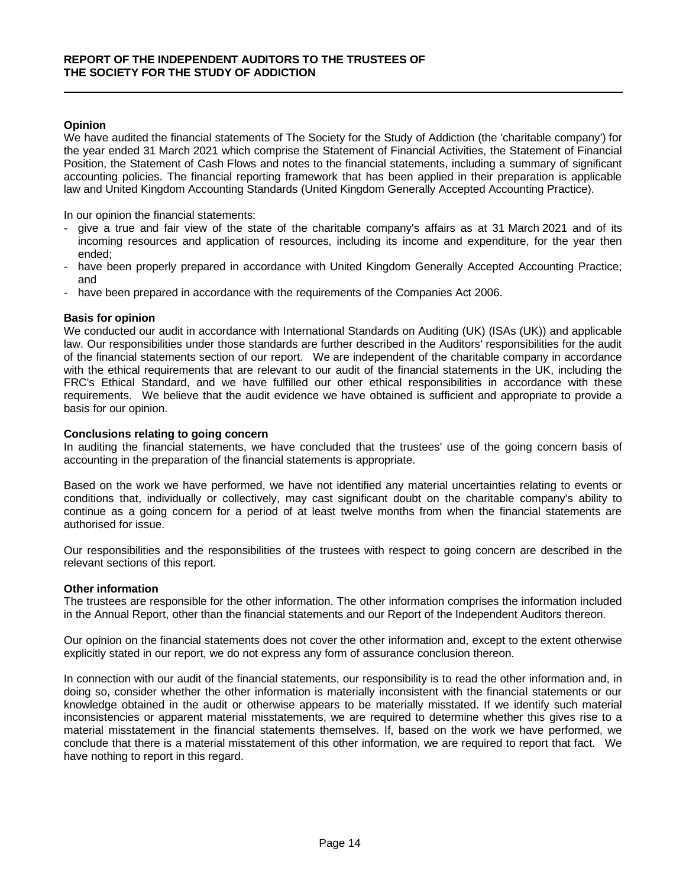## **Opinion**

We have audited the financial statements of The Society for the Study of Addiction (the 'charitable company') for the year ended 31 March 2021 which comprise the Statement of Financial Activities, the Statement of Financial Position, the Statement of Cash Flows and notes to the financial statements, including a summary of significant accounting policies. The financial reporting framework that has been applied in their preparation is applicable law and United Kingdom Accounting Standards (United Kingdom Generally Accepted Accounting Practice).

In our opinion the financial statements:

- give a true and fair view of the state of the charitable company's affairs as at 31 March 2021 and of its incoming resources and application of resources, including its income and expenditure, for the year then ended;
- have been properly prepared in accordance with United Kingdom Generally Accepted Accounting Practice; and
- have been prepared in accordance with the requirements of the Companies Act 2006.

## **Basis for opinion**

We conducted our audit in accordance with International Standards on Auditing (UK) (ISAs (UK)) and applicable law. Our responsibilities under those standards are further described in the Auditors' responsibilities for the audit of the financial statements section of our report. We are independent of the charitable company in accordance with the ethical requirements that are relevant to our audit of the financial statements in the UK, including the FRC's Ethical Standard, and we have fulfilled our other ethical responsibilities in accordance with these requirements. We believe that the audit evidence we have obtained is sufficient and appropriate to provide a basis for our opinion.

## **Conclusions relating to going concern**

In auditing the financial statements, we have concluded that the trustees' use of the going concern basis of accounting in the preparation of the financial statements is appropriate.

Based on the work we have performed, we have not identified any material uncertainties relating to events or conditions that, individually or collectively, may cast significant doubt on the charitable company's ability to continue as a going concern for a period of at least twelve months from when the financial statements are authorised for issue.

Our responsibilities and the responsibilities of the trustees with respect to going concern are described in the relevant sections of this report.

### **Other information**

The trustees are responsible for the other information. The other information comprises the information included in the Annual Report, other than the financial statements and our Report of the Independent Auditors thereon.

Our opinion on the financial statements does not cover the other information and, except to the extent otherwise explicitly stated in our report, we do not express any form of assurance conclusion thereon.

In connection with our audit of the financial statements, our responsibility is to read the other information and, in doing so, consider whether the other information is materially inconsistent with the financial statements or our knowledge obtained in the audit or otherwise appears to be materially misstated. If we identify such material inconsistencies or apparent material misstatements, we are required to determine whether this gives rise to a material misstatement in the financial statements themselves. If, based on the work we have performed, we conclude that there is a material misstatement of this other information, we are required to report that fact. We have nothing to report in this regard.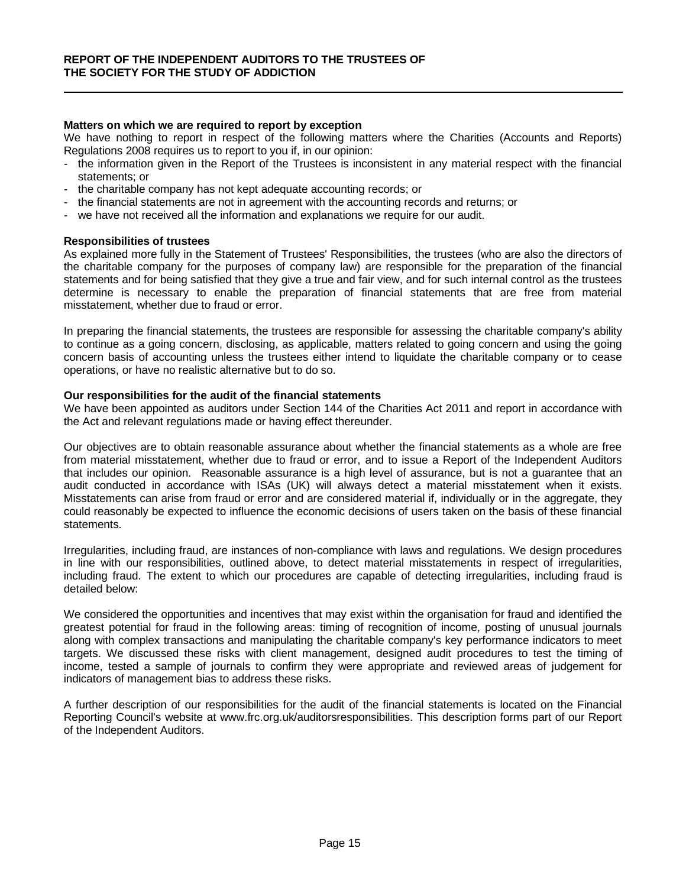#### **Matters on which we are required to report by exception**

We have nothing to report in respect of the following matters where the Charities (Accounts and Reports) Regulations 2008 requires us to report to you if, in our opinion:

- the information given in the Report of the Trustees is inconsistent in any material respect with the financial statements; or
- the charitable company has not kept adequate accounting records; or
- the financial statements are not in agreement with the accounting records and returns; or
- we have not received all the information and explanations we require for our audit.

#### **Responsibilities of trustees**

As explained more fully in the Statement of Trustees' Responsibilities, the trustees (who are also the directors of the charitable company for the purposes of company law) are responsible for the preparation of the financial statements and for being satisfied that they give a true and fair view, and for such internal control as the trustees determine is necessary to enable the preparation of financial statements that are free from material misstatement, whether due to fraud or error.

In preparing the financial statements, the trustees are responsible for assessing the charitable company's ability to continue as a going concern, disclosing, as applicable, matters related to going concern and using the going concern basis of accounting unless the trustees either intend to liquidate the charitable company or to cease operations, or have no realistic alternative but to do so.

#### **Our responsibilities for the audit of the financial statements**

We have been appointed as auditors under Section 144 of the Charities Act 2011 and report in accordance with the Act and relevant regulations made or having effect thereunder.

Our objectives are to obtain reasonable assurance about whether the financial statements as a whole are free from material misstatement, whether due to fraud or error, and to issue a Report of the Independent Auditors that includes our opinion. Reasonable assurance is a high level of assurance, but is not a guarantee that an audit conducted in accordance with ISAs (UK) will always detect a material misstatement when it exists. Misstatements can arise from fraud or error and are considered material if, individually or in the aggregate, they could reasonably be expected to influence the economic decisions of users taken on the basis of these financial statements.

Irregularities, including fraud, are instances of non-compliance with laws and regulations. We design procedures in line with our responsibilities, outlined above, to detect material misstatements in respect of irregularities, including fraud. The extent to which our procedures are capable of detecting irregularities, including fraud is detailed below:

We considered the opportunities and incentives that may exist within the organisation for fraud and identified the greatest potential for fraud in the following areas: timing of recognition of income, posting of unusual journals along with complex transactions and manipulating the charitable company's key performance indicators to meet targets. We discussed these risks with client management, designed audit procedures to test the timing of income, tested a sample of journals to confirm they were appropriate and reviewed areas of judgement for indicators of management bias to address these risks.

A further description of our responsibilities for the audit of the financial statements is located on the Financial Reporting Council's website at www.frc.org.uk/auditorsresponsibilities. This description forms part of our Report of the Independent Auditors.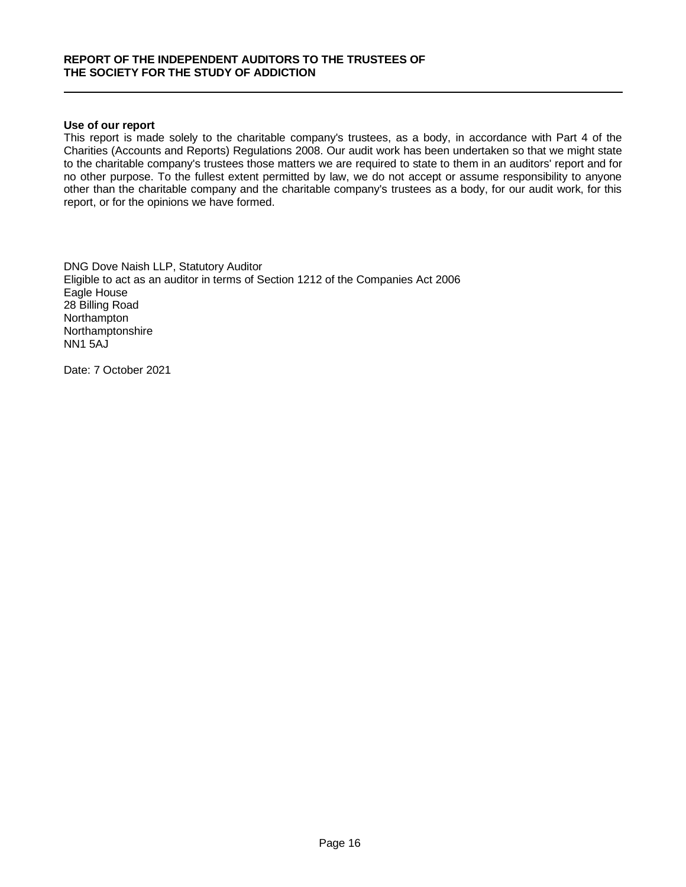#### **Use of our report**

This report is made solely to the charitable company's trustees, as a body, in accordance with Part 4 of the Charities (Accounts and Reports) Regulations 2008. Our audit work has been undertaken so that we might state to the charitable company's trustees those matters we are required to state to them in an auditors' report and for no other purpose. To the fullest extent permitted by law, we do not accept or assume responsibility to anyone other than the charitable company and the charitable company's trustees as a body, for our audit work, for this report, or for the opinions we have formed.

DNG Dove Naish LLP, Statutory Auditor Eligible to act as an auditor in terms of Section 1212 of the Companies Act 2006 Eagle House 28 Billing Road **Northampton** Northamptonshire NN1 5AJ

Date: 7 October 2021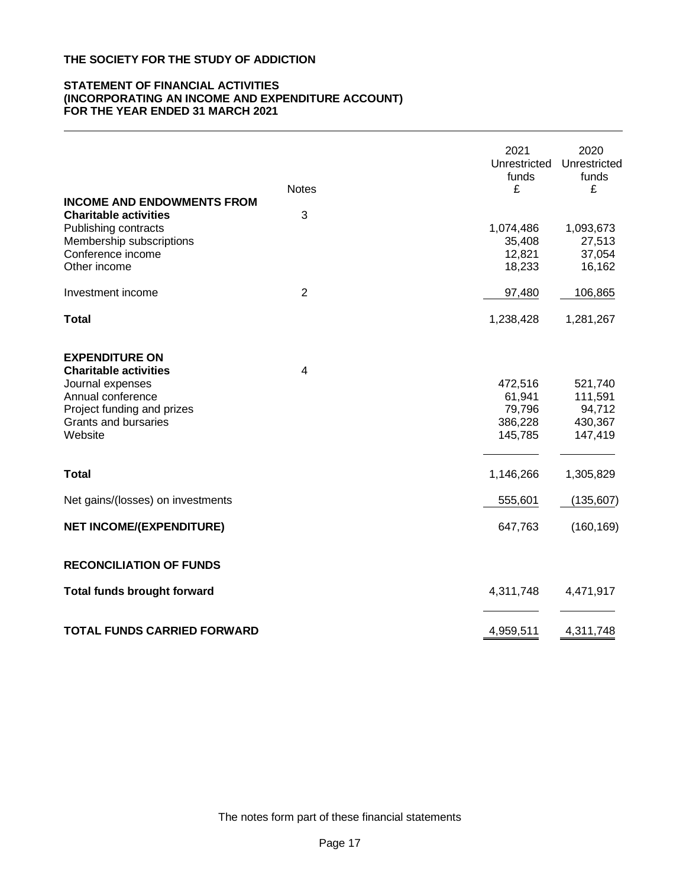#### **STATEMENT OF FINANCIAL ACTIVITIES (INCORPORATING AN INCOME AND EXPENDITURE ACCOUNT) FOR THE YEAR ENDED 31 MARCH 2021**

|                                                                                                                                                                        | <b>Notes</b>   | 2021<br>Unrestricted<br>funds<br>£                | 2020<br>Unrestricted<br>funds<br>£                 |
|------------------------------------------------------------------------------------------------------------------------------------------------------------------------|----------------|---------------------------------------------------|----------------------------------------------------|
| <b>INCOME AND ENDOWMENTS FROM</b><br><b>Charitable activities</b><br>Publishing contracts<br>Membership subscriptions<br>Conference income<br>Other income             | 3              | 1,074,486<br>35,408<br>12,821<br>18,233           | 1,093,673<br>27,513<br>37,054<br>16,162            |
| Investment income                                                                                                                                                      | $\overline{2}$ | 97,480                                            | 106,865                                            |
| <b>Total</b>                                                                                                                                                           |                | 1,238,428                                         | 1,281,267                                          |
| <b>EXPENDITURE ON</b><br><b>Charitable activities</b><br>Journal expenses<br>Annual conference<br>Project funding and prizes<br><b>Grants and bursaries</b><br>Website | $\overline{4}$ | 472,516<br>61,941<br>79,796<br>386,228<br>145,785 | 521,740<br>111,591<br>94,712<br>430,367<br>147,419 |
| <b>Total</b>                                                                                                                                                           |                | 1,146,266                                         | 1,305,829                                          |
| Net gains/(losses) on investments                                                                                                                                      |                | 555,601                                           | (135, 607)                                         |
| <b>NET INCOME/(EXPENDITURE)</b>                                                                                                                                        |                | 647,763                                           | (160, 169)                                         |
| <b>RECONCILIATION OF FUNDS</b>                                                                                                                                         |                |                                                   |                                                    |
| <b>Total funds brought forward</b>                                                                                                                                     |                | 4,311,748                                         | 4,471,917                                          |
| <b>TOTAL FUNDS CARRIED FORWARD</b>                                                                                                                                     |                | 4,959,511                                         | 4,311,748                                          |

The notes form part of these financial statements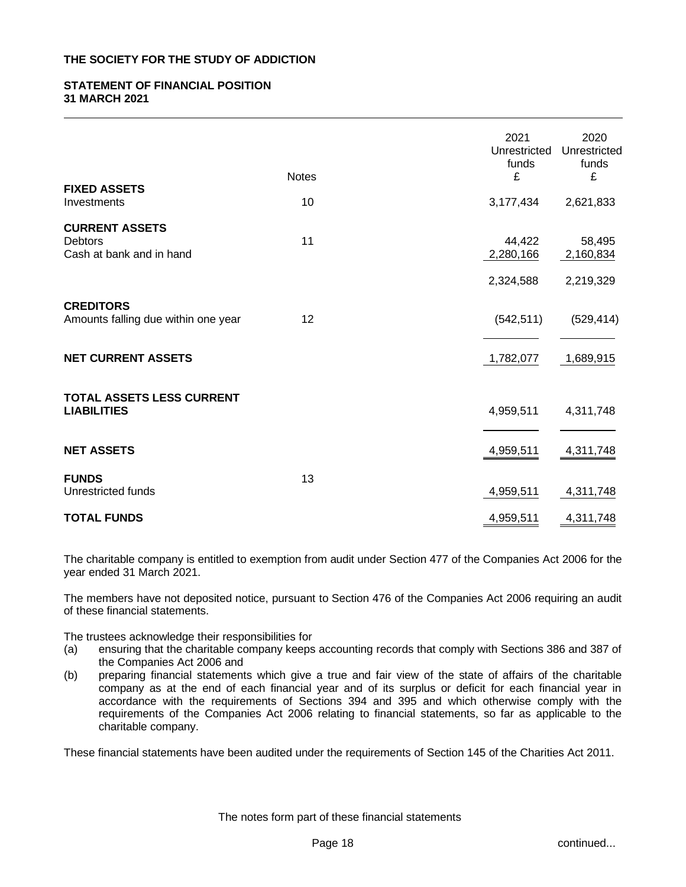## **STATEMENT OF FINANCIAL POSITION 31 MARCH 2021**

| <b>FIXED ASSETS</b>                                                 | <b>Notes</b> | 2021<br>Unrestricted<br>funds<br>£ | 2020<br>Unrestricted<br>funds<br>£ |
|---------------------------------------------------------------------|--------------|------------------------------------|------------------------------------|
| Investments                                                         | 10           | 3,177,434                          | 2,621,833                          |
| <b>CURRENT ASSETS</b><br><b>Debtors</b><br>Cash at bank and in hand | 11           | 44,422<br>2,280,166                | 58,495<br>2,160,834                |
|                                                                     |              | 2,324,588                          | 2,219,329                          |
| <b>CREDITORS</b><br>Amounts falling due within one year             | 12           | (542, 511)                         | (529, 414)                         |
| <b>NET CURRENT ASSETS</b>                                           |              | 1,782,077                          | 1,689,915                          |
| <b>TOTAL ASSETS LESS CURRENT</b><br><b>LIABILITIES</b>              |              | 4,959,511                          | 4,311,748                          |
| <b>NET ASSETS</b>                                                   |              | 4,959,511                          | 4,311,748                          |
| <b>FUNDS</b><br>Unrestricted funds                                  | 13           | 4,959,511                          | 4,311,748                          |
| <b>TOTAL FUNDS</b>                                                  |              | 4,959,511                          | 4,311,748                          |

The charitable company is entitled to exemption from audit under Section 477 of the Companies Act 2006 for the year ended 31 March 2021.

The members have not deposited notice, pursuant to Section 476 of the Companies Act 2006 requiring an audit of these financial statements.

The trustees acknowledge their responsibilities for

- (a) ensuring that the charitable company keeps accounting records that comply with Sections 386 and 387 of the Companies Act 2006 and
- (b) preparing financial statements which give a true and fair view of the state of affairs of the charitable company as at the end of each financial year and of its surplus or deficit for each financial year in accordance with the requirements of Sections 394 and 395 and which otherwise comply with the requirements of the Companies Act 2006 relating to financial statements, so far as applicable to the charitable company.

These financial statements have been audited under the requirements of Section 145 of the Charities Act 2011.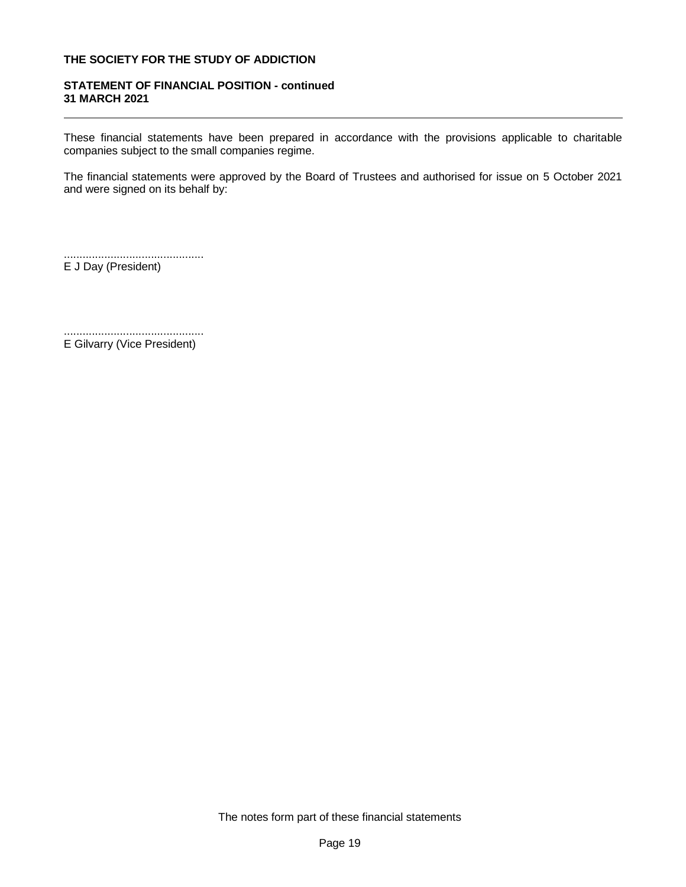## **STATEMENT OF FINANCIAL POSITION - continued 31 MARCH 2021**

These financial statements have been prepared in accordance with the provisions applicable to charitable companies subject to the small companies regime.

The financial statements were approved by the Board of Trustees and authorised for issue on 5 October 2021 and were signed on its behalf by:

.............................................

E J Day (President)

............................................. E Gilvarry (Vice President)

The notes form part of these financial statements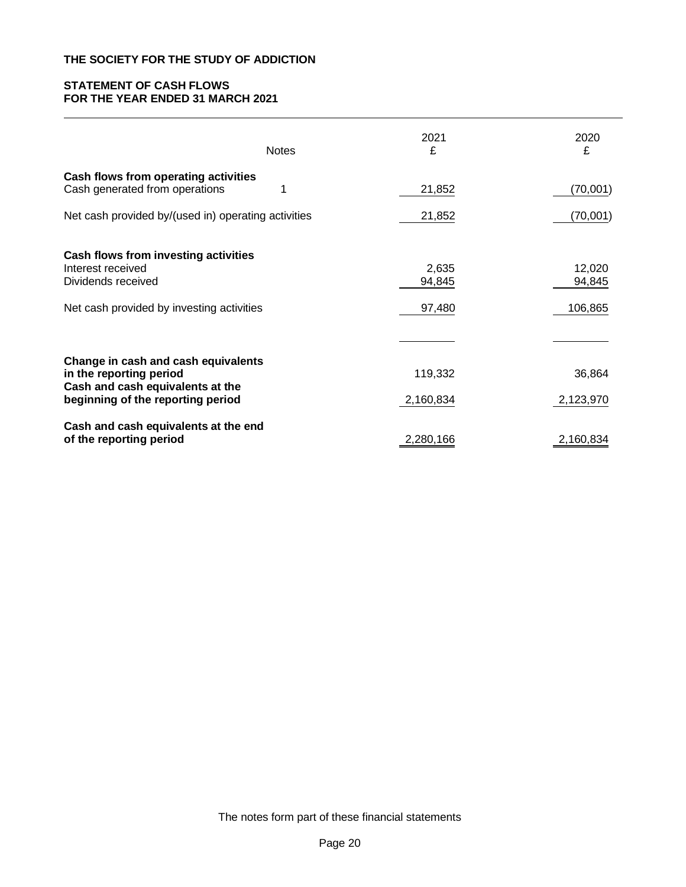## **STATEMENT OF CASH FLOWS FOR THE YEAR ENDED 31 MARCH 2021**

|                                                                                                                              | <b>Notes</b> | 2021<br>£                 | 2020<br>£                   |
|------------------------------------------------------------------------------------------------------------------------------|--------------|---------------------------|-----------------------------|
| Cash flows from operating activities<br>Cash generated from operations                                                       | 1            | 21,852                    | (70,001)                    |
| Net cash provided by/(used in) operating activities                                                                          |              | 21,852                    | (70,001)                    |
| Cash flows from investing activities<br>Interest received<br>Dividends received<br>Net cash provided by investing activities |              | 2,635<br>94,845<br>97,480 | 12,020<br>94,845<br>106,865 |
|                                                                                                                              |              |                           |                             |
| Change in cash and cash equivalents<br>in the reporting period<br>Cash and cash equivalents at the                           |              | 119,332                   | 36,864                      |
| beginning of the reporting period                                                                                            |              | 2,160,834                 | 2,123,970                   |
| Cash and cash equivalents at the end<br>of the reporting period                                                              |              | 2,280,166                 | 2,160,834                   |

The notes form part of these financial statements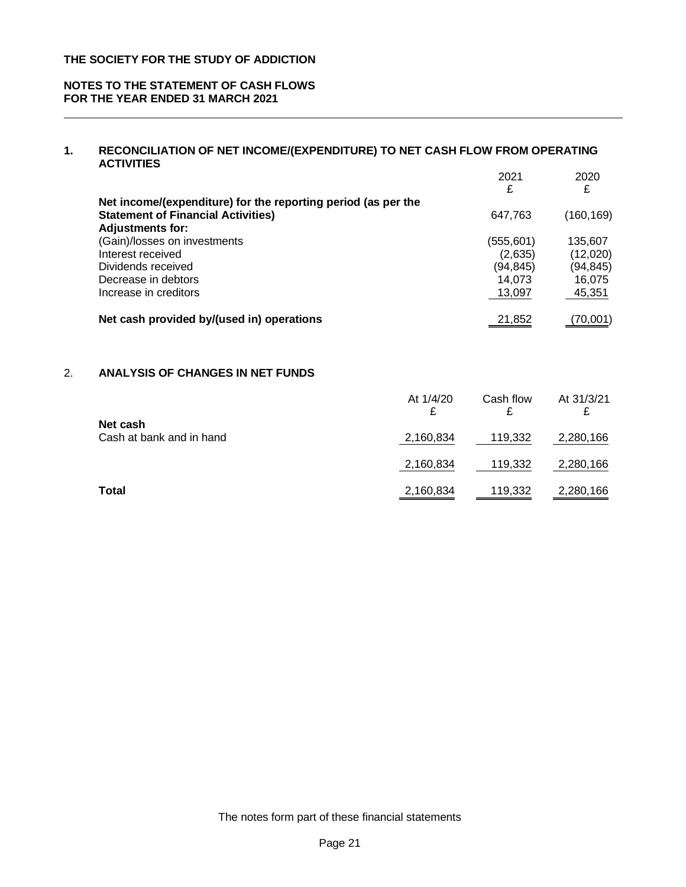## **NOTES TO THE STATEMENT OF CASH FLOWS FOR THE YEAR ENDED 31 MARCH 2021**

## **1. RECONCILIATION OF NET INCOME/(EXPENDITURE) TO NET CASH FLOW FROM OPERATING ACTIVITIES**

|                                                               | 2021<br>£ | 2020<br>£  |
|---------------------------------------------------------------|-----------|------------|
| Net income/(expenditure) for the reporting period (as per the |           |            |
| <b>Statement of Financial Activities)</b>                     | 647,763   | (160, 169) |
| <b>Adjustments for:</b>                                       |           |            |
| (Gain)/losses on investments                                  | (555,601) | 135,607    |
| Interest received                                             | (2,635)   | (12,020)   |
| Dividends received                                            | (94,845)  | (94, 845)  |
| Decrease in debtors                                           | 14.073    | 16,075     |
| Increase in creditors                                         | 13,097    | 45,351     |
|                                                               |           |            |
| Net cash provided by/(used in) operations                     | 21.852    | (70,001)   |

# 2. **ANALYSIS OF CHANGES IN NET FUNDS**

|                                      | At 1/4/20<br>₽ | Cash flow | At 31/3/21 |
|--------------------------------------|----------------|-----------|------------|
| Net cash<br>Cash at bank and in hand | 2,160,834      | 119,332   | 2,280,166  |
|                                      | 2,160,834      | 119,332   | 2,280,166  |
| <b>Total</b>                         | 2,160,834      | 119,332   | 2,280,166  |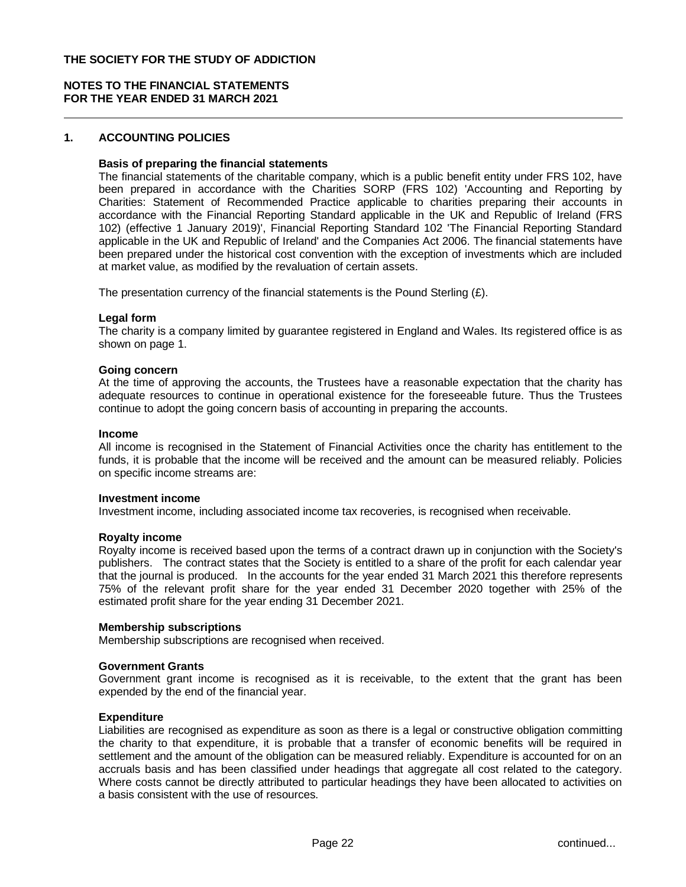## **NOTES TO THE FINANCIAL STATEMENTS FOR THE YEAR ENDED 31 MARCH 2021**

## **1. ACCOUNTING POLICIES**

#### **Basis of preparing the financial statements**

The financial statements of the charitable company, which is a public benefit entity under FRS 102, have been prepared in accordance with the Charities SORP (FRS 102) 'Accounting and Reporting by Charities: Statement of Recommended Practice applicable to charities preparing their accounts in accordance with the Financial Reporting Standard applicable in the UK and Republic of Ireland (FRS 102) (effective 1 January 2019)', Financial Reporting Standard 102 'The Financial Reporting Standard applicable in the UK and Republic of Ireland' and the Companies Act 2006. The financial statements have been prepared under the historical cost convention with the exception of investments which are included at market value, as modified by the revaluation of certain assets.

The presentation currency of the financial statements is the Pound Sterling  $(E)$ .

#### **Legal form**

The charity is a company limited by guarantee registered in England and Wales. Its registered office is as shown on page 1.

#### **Going concern**

At the time of approving the accounts, the Trustees have a reasonable expectation that the charity has adequate resources to continue in operational existence for the foreseeable future. Thus the Trustees continue to adopt the going concern basis of accounting in preparing the accounts.

#### **Income**

All income is recognised in the Statement of Financial Activities once the charity has entitlement to the funds, it is probable that the income will be received and the amount can be measured reliably. Policies on specific income streams are:

#### **Investment income**

Investment income, including associated income tax recoveries, is recognised when receivable.

#### **Royalty income**

Royalty income is received based upon the terms of a contract drawn up in conjunction with the Society's publishers. The contract states that the Society is entitled to a share of the profit for each calendar year that the journal is produced. In the accounts for the year ended 31 March 2021 this therefore represents 75% of the relevant profit share for the year ended 31 December 2020 together with 25% of the estimated profit share for the year ending 31 December 2021.

#### **Membership subscriptions**

Membership subscriptions are recognised when received.

#### **Government Grants**

Government grant income is recognised as it is receivable, to the extent that the grant has been expended by the end of the financial year.

#### **Expenditure**

Liabilities are recognised as expenditure as soon as there is a legal or constructive obligation committing the charity to that expenditure, it is probable that a transfer of economic benefits will be required in settlement and the amount of the obligation can be measured reliably. Expenditure is accounted for on an accruals basis and has been classified under headings that aggregate all cost related to the category. Where costs cannot be directly attributed to particular headings they have been allocated to activities on a basis consistent with the use of resources.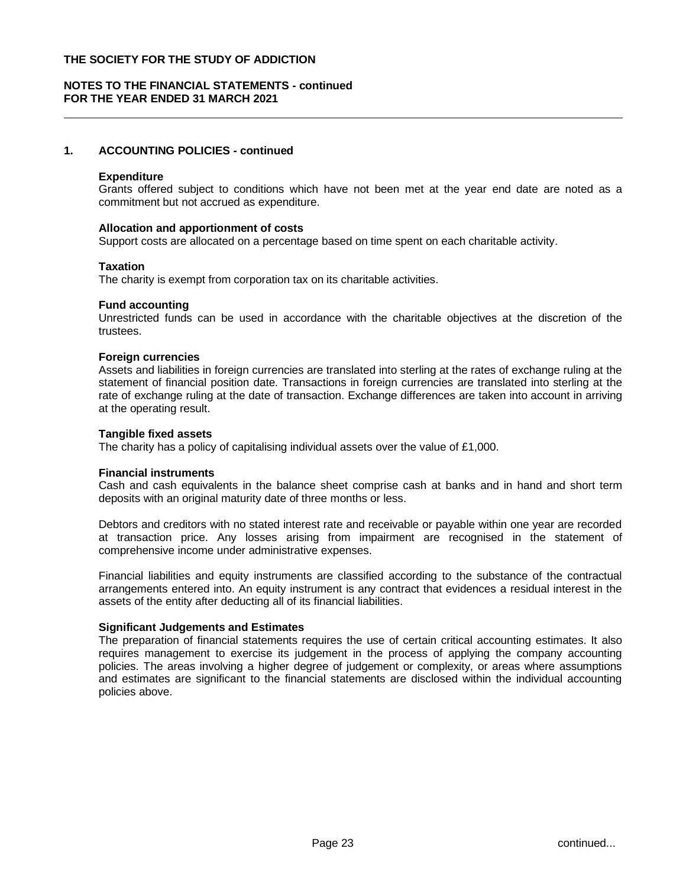## **NOTES TO THE FINANCIAL STATEMENTS - continued FOR THE YEAR ENDED 31 MARCH 2021**

# **1. ACCOUNTING POLICIES - continued**

#### **Expenditure**

Grants offered subject to conditions which have not been met at the year end date are noted as a commitment but not accrued as expenditure.

#### **Allocation and apportionment of costs**

Support costs are allocated on a percentage based on time spent on each charitable activity.

#### **Taxation**

The charity is exempt from corporation tax on its charitable activities.

#### **Fund accounting**

Unrestricted funds can be used in accordance with the charitable objectives at the discretion of the trustees.

#### **Foreign currencies**

Assets and liabilities in foreign currencies are translated into sterling at the rates of exchange ruling at the statement of financial position date. Transactions in foreign currencies are translated into sterling at the rate of exchange ruling at the date of transaction. Exchange differences are taken into account in arriving at the operating result.

#### **Tangible fixed assets**

The charity has a policy of capitalising individual assets over the value of £1,000.

#### **Financial instruments**

Cash and cash equivalents in the balance sheet comprise cash at banks and in hand and short term deposits with an original maturity date of three months or less.

Debtors and creditors with no stated interest rate and receivable or payable within one year are recorded at transaction price. Any losses arising from impairment are recognised in the statement of comprehensive income under administrative expenses.

Financial liabilities and equity instruments are classified according to the substance of the contractual arrangements entered into. An equity instrument is any contract that evidences a residual interest in the assets of the entity after deducting all of its financial liabilities.

#### **Significant Judgements and Estimates**

The preparation of financial statements requires the use of certain critical accounting estimates. It also requires management to exercise its judgement in the process of applying the company accounting policies. The areas involving a higher degree of judgement or complexity, or areas where assumptions and estimates are significant to the financial statements are disclosed within the individual accounting policies above.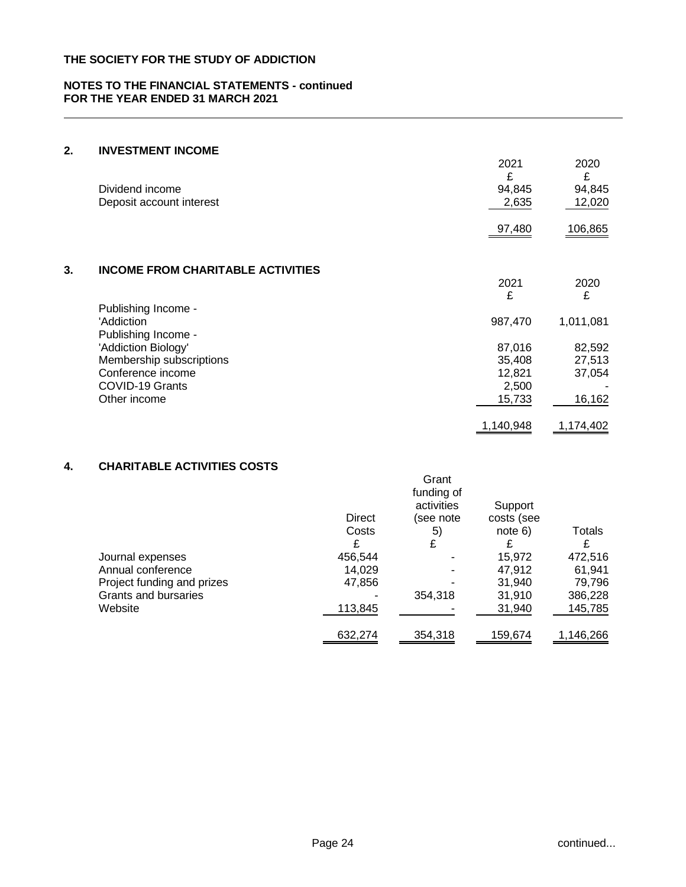#### **NOTES TO THE FINANCIAL STATEMENTS - continued FOR THE YEAR ENDED 31 MARCH 2021**

# **2. INVESTMENT INCOME**

|    | Dividend income<br>Deposit account interest | 2021<br>£<br>94,845<br>2,635 | 2020<br>£<br>94,845<br>12,020 |
|----|---------------------------------------------|------------------------------|-------------------------------|
|    |                                             | 97,480                       | 106,865                       |
| 3. | <b>INCOME FROM CHARITABLE ACTIVITIES</b>    |                              |                               |
|    |                                             | 2021                         | 2020                          |
|    |                                             | £                            | £                             |
|    | Publishing Income -                         |                              |                               |
|    | 'Addiction                                  | 987,470                      | 1,011,081                     |
|    | Publishing Income -                         |                              |                               |
|    | 'Addiction Biology'                         | 87,016                       | 82,592                        |
|    | Membership subscriptions                    | 35,408                       | 27,513                        |
|    | Conference income                           | 12,821                       | 37,054                        |
|    | COVID-19 Grants                             | 2,500                        |                               |
|    | Other income                                | 15,733                       | 16,162                        |
|    |                                             | 1,140,948                    | 1,174,402                     |

# **4. CHARITABLE ACTIVITIES COSTS**

|                            |               | Grant<br>funding of     |                       |           |
|----------------------------|---------------|-------------------------|-----------------------|-----------|
|                            | <b>Direct</b> | activities<br>(see note | Support<br>costs (see |           |
|                            | Costs         | 5)                      | note 6)               | Totals    |
|                            | £             | £                       | £                     |           |
| Journal expenses           | 456,544       |                         | 15,972                | 472,516   |
| Annual conference          | 14,029        |                         | 47.912                | 61.941    |
| Project funding and prizes | 47,856        |                         | 31,940                | 79,796    |
| Grants and bursaries       |               | 354,318                 | 31,910                | 386,228   |
| Website                    | 113,845       |                         | 31,940                | 145,785   |
|                            | 632,274       | 354,318                 | 159,674               | 1,146,266 |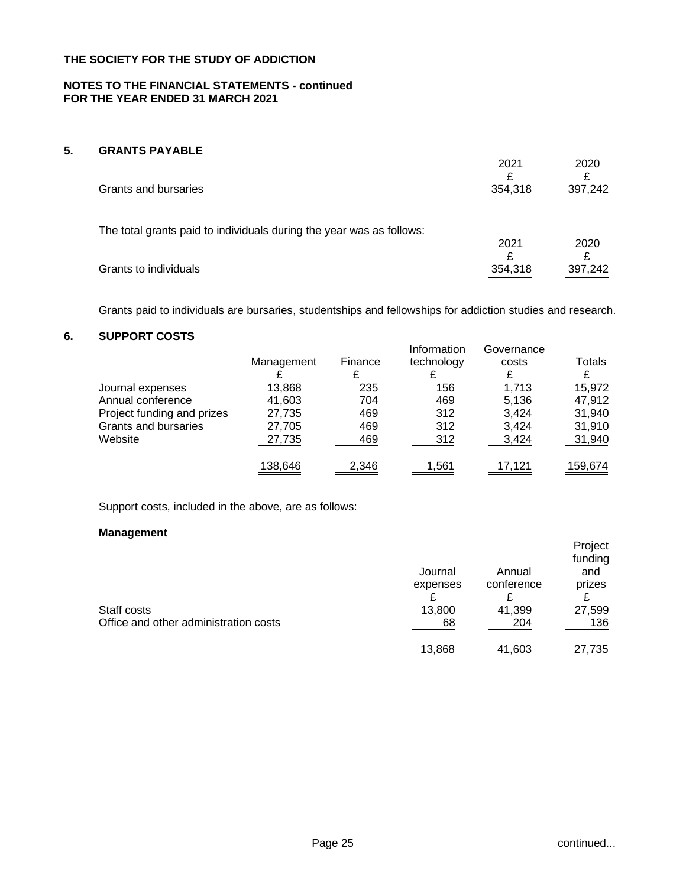## **NOTES TO THE FINANCIAL STATEMENTS - continued FOR THE YEAR ENDED 31 MARCH 2021**

# **5. GRANTS PAYABLE**

| <u>UINAN IU LA LADLL</u><br>Grants and bursaries                     | 2021<br>354,318 | 2020<br>397,242 |
|----------------------------------------------------------------------|-----------------|-----------------|
| The total grants paid to individuals during the year was as follows: | 2021            | 2020            |
| Grants to individuals                                                | 354,318         | 397,242         |

Grants paid to individuals are bursaries, studentships and fellowships for addiction studies and research.

# **6. SUPPORT COSTS**

| <u>oui i Uiti uuu iu</u>   |            |         |                           |                     |         |
|----------------------------|------------|---------|---------------------------|---------------------|---------|
|                            | Management | Finance | Information<br>technology | Governance<br>costs | Totals  |
| Journal expenses           | 13,868     | 235     | 156                       | 1.713               | 15,972  |
| Annual conference          | 41,603     | 704     | 469                       | 5,136               | 47,912  |
| Project funding and prizes | 27,735     | 469     | 312                       | 3,424               | 31,940  |
| Grants and bursaries       | 27,705     | 469     | 312                       | 3.424               | 31,910  |
| Website                    | 27,735     | 469     | 312                       | 3,424               | 31,940  |
|                            | 138,646    | 2,346   | 1,561                     | 17.121              | 159,674 |

Support costs, included in the above, are as follows:

## **Management**

| Staff costs                           | Journal<br>expenses<br>13,800 | Annual<br>conference<br>41,399 | Project<br>funding<br>and<br>prizes<br>27,599 |
|---------------------------------------|-------------------------------|--------------------------------|-----------------------------------------------|
| Office and other administration costs | 68                            | 204                            | 136                                           |
|                                       | 13,868                        | 41,603                         | 27,735                                        |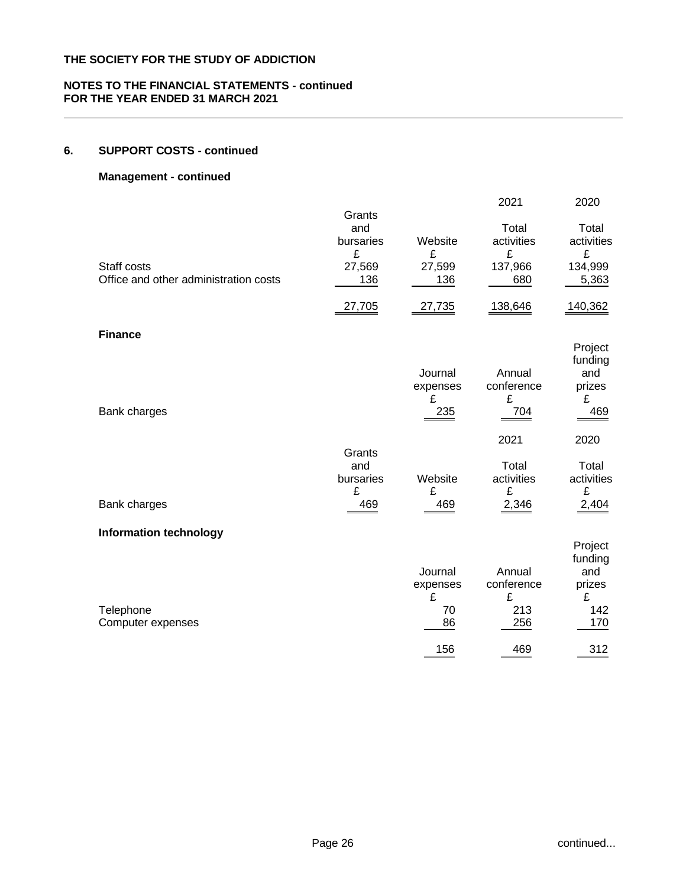## **NOTES TO THE FINANCIAL STATEMENTS - continued FOR THE YEAR ENDED 31 MARCH 2021**

# **6. SUPPORT COSTS - continued**

## **Management - continued**

|                                       |                                        |                                      | 2021                                    | 2020                                                   |
|---------------------------------------|----------------------------------------|--------------------------------------|-----------------------------------------|--------------------------------------------------------|
| Staff costs                           | Grants<br>and<br>bursaries<br>£        | Website<br>£                         | Total<br>activities<br>£                | Total<br>activities<br>£                               |
| Office and other administration costs | 27,569<br>136                          | 27,599<br>136                        | 137,966<br>680                          | 134,999<br>5,363                                       |
|                                       | 27,705                                 | 27,735                               | 138,646                                 | 140,362                                                |
| <b>Finance</b>                        |                                        |                                      |                                         |                                                        |
| Bank charges                          |                                        | Journal<br>expenses<br>£<br>235      | Annual<br>conference<br>£<br>704        | Project<br>funding<br>and<br>prizes<br>£<br>469        |
|                                       |                                        |                                      | 2021                                    | 2020                                                   |
| Bank charges                          | Grants<br>and<br>bursaries<br>£<br>469 | Website<br>£<br>469                  | Total<br>activities<br>£<br>2,346       | Total<br>activities<br>£<br>2,404                      |
| <b>Information technology</b>         |                                        |                                      |                                         |                                                        |
| Telephone<br>Computer expenses        |                                        | Journal<br>expenses<br>£<br>70<br>86 | Annual<br>conference<br>£<br>213<br>256 | Project<br>funding<br>and<br>prizes<br>£<br>142<br>170 |
|                                       |                                        | 156                                  | 469                                     | 312                                                    |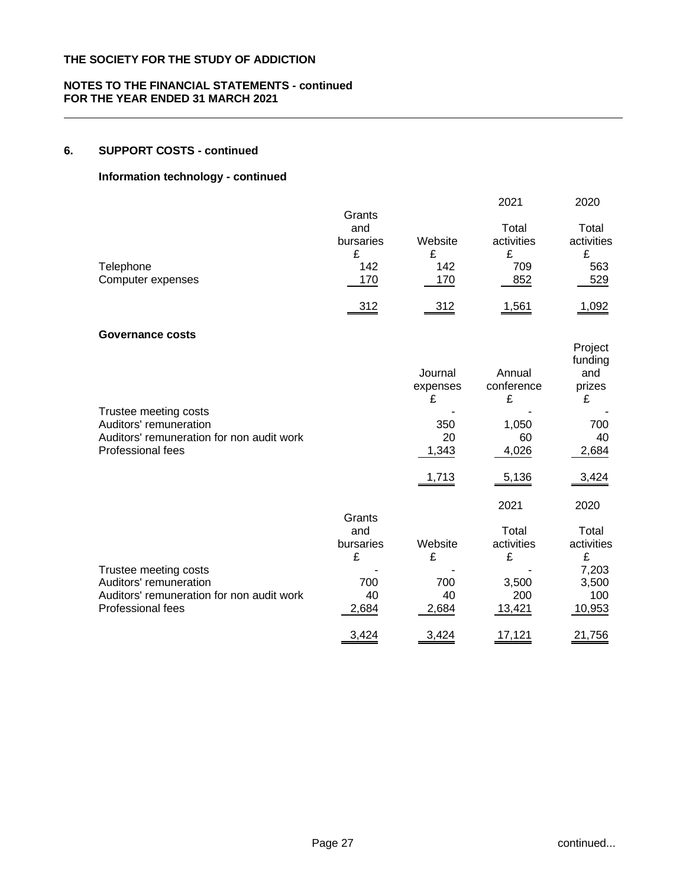## **NOTES TO THE FINANCIAL STATEMENTS - continued FOR THE YEAR ENDED 31 MARCH 2021**

## **6. SUPPORT COSTS - continued**

## **Information technology - continued**

|                         |           |          | 2021       | 2020       |
|-------------------------|-----------|----------|------------|------------|
|                         | Grants    |          |            |            |
|                         | and       |          | Total      | Total      |
|                         | bursaries | Website  | activities | activities |
|                         | £         | £        | £          | £          |
| Telephone               | 142       | 142      | 709        | 563        |
| Computer expenses       | 170       | 170      | 852        | 529        |
|                         | 312       | 312      | 1,561      | 1,092      |
| <b>Governance costs</b> |           |          |            |            |
|                         |           |          |            | Project    |
|                         |           |          |            | funding    |
|                         |           | Journal  | Annual     | and        |
|                         |           | expenses | conference | prizes     |
|                         |           | £        | £          | £          |

|                                           |           | ∼       | ∼          | ∼          |
|-------------------------------------------|-----------|---------|------------|------------|
| Trustee meeting costs                     |           |         |            |            |
| Auditors' remuneration                    |           | 350     | 1,050      | 700        |
| Auditors' remuneration for non audit work |           | 20      | 60         | 40         |
| Professional fees                         |           | 1,343   | 4,026      | 2,684      |
|                                           |           | 1,713   | 5,136      | 3,424      |
|                                           |           |         |            |            |
|                                           |           |         | 2021       | 2020       |
|                                           | Grants    |         |            |            |
|                                           | and       |         | Total      | Total      |
|                                           | bursaries | Website | activities | activities |
|                                           | £         | £       | £          | £          |
| Trustee meeting costs                     |           |         |            | 7,203      |
| Auditors' remuneration                    | 700       | 700     | 3,500      | 3,500      |
|                                           |           |         |            |            |

Auditors' remuneration for non audit work  $\begin{array}{cccc} 40 & 40 & 200 & 100 \\ \hline 2,684 & 2,684 & 13,421 & 10,953 \end{array}$ Professional fees 2,684 2,684 2,684 13,421 10,953

3,424 3,424 17,121 21,756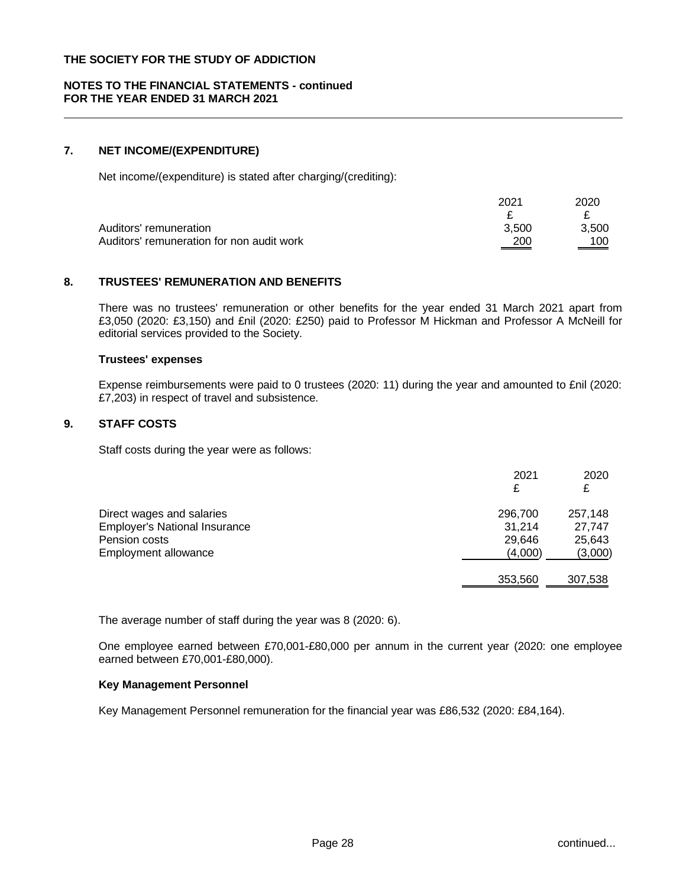## **NOTES TO THE FINANCIAL STATEMENTS - continued FOR THE YEAR ENDED 31 MARCH 2021**

# **7. NET INCOME/(EXPENDITURE)**

Net income/(expenditure) is stated after charging/(crediting):

| $202^{\circ}$ | 2020  |
|---------------|-------|
|               |       |
| 3.500         | 3.500 |
| 200           | 100   |
|               |       |

#### **8. TRUSTEES' REMUNERATION AND BENEFITS**

There was no trustees' remuneration or other benefits for the year ended 31 March 2021 apart from £3,050 (2020: £3,150) and £nil (2020: £250) paid to Professor M Hickman and Professor A McNeill for editorial services provided to the Society.

#### **Trustees' expenses**

Expense reimbursements were paid to 0 trustees (2020: 11) during the year and amounted to £nil (2020: £7,203) in respect of travel and subsistence.

#### **9. STAFF COSTS**

Staff costs during the year were as follows:

|                                      | 2021<br>£ | 2020    |
|--------------------------------------|-----------|---------|
| Direct wages and salaries            | 296,700   | 257,148 |
| <b>Employer's National Insurance</b> | 31,214    | 27.747  |
| Pension costs                        | 29,646    | 25,643  |
| <b>Employment allowance</b>          | (4,000)   | (3,000) |
|                                      | 353,560   | 307,538 |

The average number of staff during the year was 8 (2020: 6).

One employee earned between £70,001-£80,000 per annum in the current year (2020: one employee earned between £70,001-£80,000).

#### **Key Management Personnel**

Key Management Personnel remuneration for the financial year was £86,532 (2020: £84,164).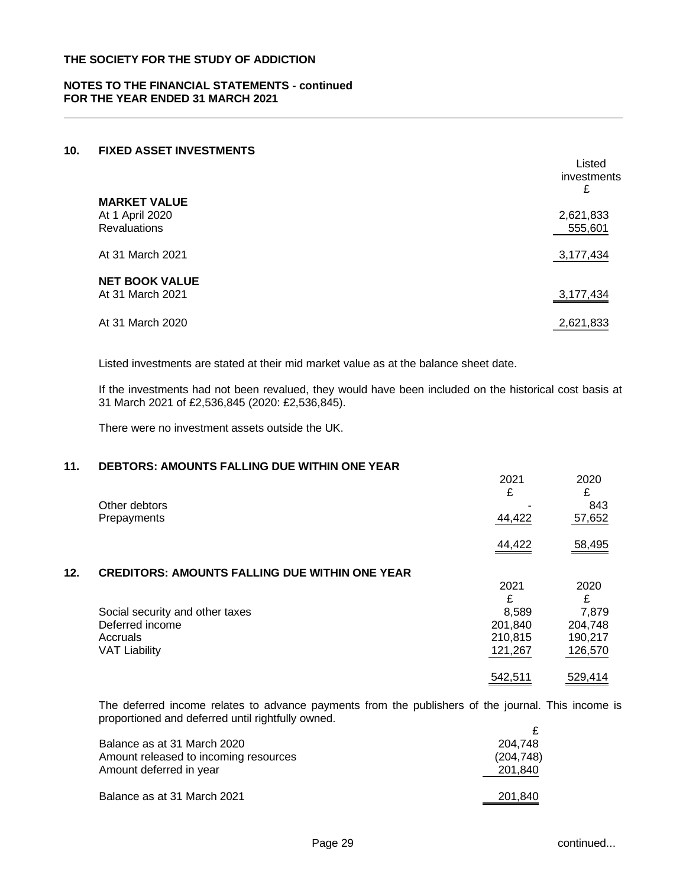## **NOTES TO THE FINANCIAL STATEMENTS - continued FOR THE YEAR ENDED 31 MARCH 2021**

## **10. FIXED ASSET INVESTMENTS**

|                                                               | Listed<br>investments<br>£ |
|---------------------------------------------------------------|----------------------------|
| <b>MARKET VALUE</b><br>At 1 April 2020<br><b>Revaluations</b> | 2,621,833<br>555,601       |
| At 31 March 2021                                              | 3,177,434                  |
| <b>NET BOOK VALUE</b><br>At 31 March 2021                     | 3,177,434                  |
| At 31 March 2020                                              | 2,621,833                  |

Listed investments are stated at their mid market value as at the balance sheet date.

If the investments had not been revalued, they would have been included on the historical cost basis at 31 March 2021 of £2,536,845 (2020: £2,536,845).

There were no investment assets outside the UK.

## **11. DEBTORS: AMOUNTS FALLING DUE WITHIN ONE YEAR**

|     |                                                       | 2021<br>£ | 2020<br>£ |
|-----|-------------------------------------------------------|-----------|-----------|
|     | Other debtors                                         |           | 843       |
|     | Prepayments                                           | 44,422    | 57,652    |
|     |                                                       | 44,422    | 58,495    |
| 12. | <b>CREDITORS: AMOUNTS FALLING DUE WITHIN ONE YEAR</b> |           |           |
|     |                                                       | 2021      | 2020      |
|     |                                                       | £         | £         |
|     | Social security and other taxes                       | 8,589     | 7,879     |
|     | Deferred income                                       | 201,840   | 204,748   |
|     | Accruals                                              | 210,815   | 190,217   |
|     | <b>VAT Liability</b>                                  | 121,267   | 126,570   |
|     |                                                       | 542,511   | 529,414   |

The deferred income relates to advance payments from the publishers of the journal. This income is proportioned and deferred until rightfully owned. £

| Balance as at 31 March 2020           | 204.748    |
|---------------------------------------|------------|
| Amount released to incoming resources | (204, 748) |
| Amount deferred in year               | 201,840    |
|                                       |            |
| Balance as at 31 March 2021           | 201,840    |
|                                       |            |

Listed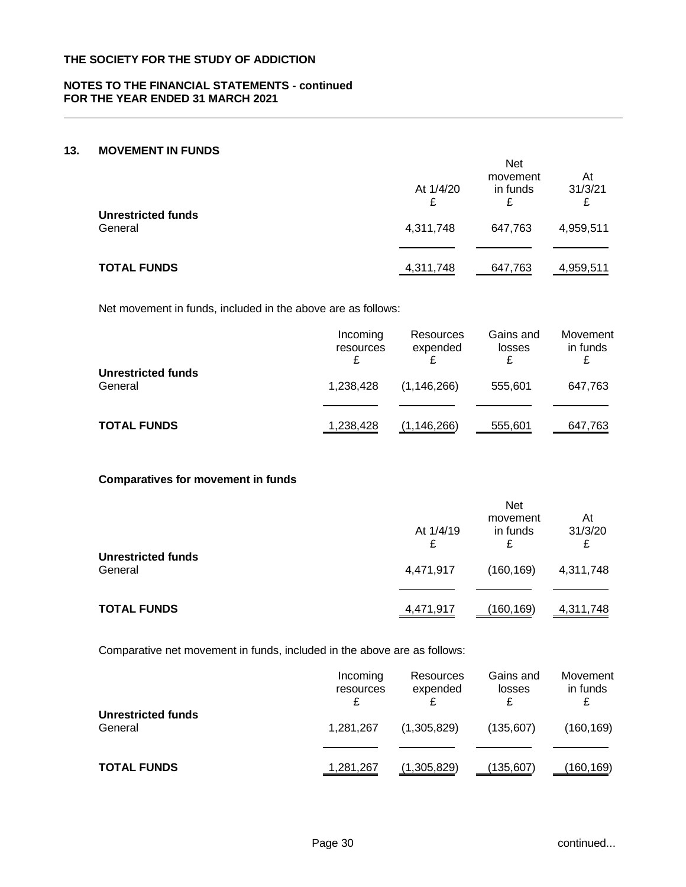## **NOTES TO THE FINANCIAL STATEMENTS - continued FOR THE YEAR ENDED 31 MARCH 2021**

# **13. MOVEMENT IN FUNDS**

|                                      |                | <b>Net</b><br>movement | At             |
|--------------------------------------|----------------|------------------------|----------------|
|                                      | At 1/4/20      | in funds               | 31/3/21        |
| <b>Unrestricted funds</b><br>General | £<br>4,311,748 | £<br>647,763           | £<br>4,959,511 |
| <b>TOTAL FUNDS</b>                   | 4,311,748      | 647,763                | 4,959,511      |

Net movement in funds, included in the above are as follows:

|                                      | Incoming<br>resources | Resources<br>expended | Gains and<br>losses | Movement<br>in funds |
|--------------------------------------|-----------------------|-----------------------|---------------------|----------------------|
| <b>Unrestricted funds</b><br>General | 1,238,428             | (1, 146, 266)         | 555.601             | 647,763              |
| <b>TOTAL FUNDS</b>                   | 1,238,428             | (1,146,266)           | 555,601             | 647,763              |

## **Comparatives for movement in funds**

|                                      | At 1/4/19<br>£ | <b>Net</b><br>movement<br>in funds<br>£ | At<br>31/3/20  |
|--------------------------------------|----------------|-----------------------------------------|----------------|
| <b>Unrestricted funds</b><br>General | 4,471,917      | (160, 169)                              | £<br>4,311,748 |
| <b>TOTAL FUNDS</b>                   | 4,471,917      | (160,169)                               | 4,311,748      |

Comparative net movement in funds, included in the above are as follows:

|                                      | Incoming<br>resources | Resources<br>expended | Gains and<br>losses | Movement<br>in funds |
|--------------------------------------|-----------------------|-----------------------|---------------------|----------------------|
| <b>Unrestricted funds</b><br>General | 1,281,267             | (1,305,829)           | (135,607)           | (160, 169)           |
| <b>TOTAL FUNDS</b>                   | 1,281,267             | (1,305,829)           | (135,607)           | (160,169)            |